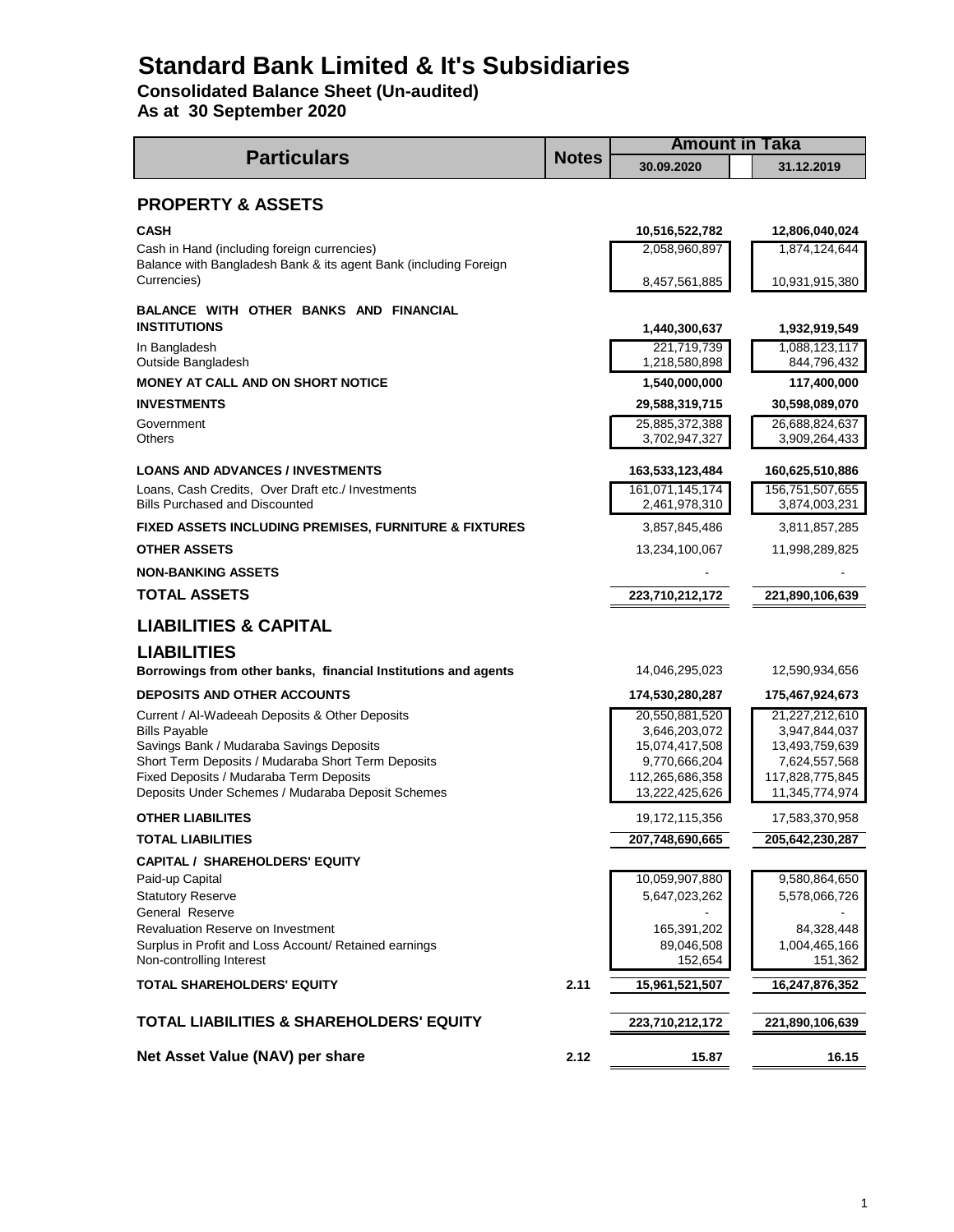# **Standard Bank Limited & It's Subsidiaries**

**Consolidated Balance Sheet (Un-audited)**

**As at 30 September 2020**

|                                                                                                                 |              | <b>Amount in Taka</b>           |                                 |  |  |
|-----------------------------------------------------------------------------------------------------------------|--------------|---------------------------------|---------------------------------|--|--|
| <b>Particulars</b>                                                                                              | <b>Notes</b> | 30.09.2020                      | 31.12.2019                      |  |  |
| <b>PROPERTY &amp; ASSETS</b>                                                                                    |              |                                 |                                 |  |  |
| <b>CASH</b>                                                                                                     |              | 10,516,522,782                  | 12,806,040,024                  |  |  |
| Cash in Hand (including foreign currencies)<br>Balance with Bangladesh Bank & its agent Bank (including Foreign |              | 2,058,960,897                   | 1,874,124,644                   |  |  |
| Currencies)                                                                                                     |              | 8,457,561,885                   | 10,931,915,380                  |  |  |
| BALANCE WITH OTHER BANKS AND FINANCIAL<br><b>INSTITUTIONS</b>                                                   |              | 1,440,300,637                   | 1,932,919,549                   |  |  |
| In Bangladesh<br>Outside Bangladesh                                                                             |              | 221,719,739<br>1,218,580,898    | 1,088,123,117<br>844,796,432    |  |  |
| <b>MONEY AT CALL AND ON SHORT NOTICE</b>                                                                        |              | 1,540,000,000                   | 117,400,000                     |  |  |
| <b>INVESTMENTS</b>                                                                                              |              | 29,588,319,715                  | 30,598,089,070                  |  |  |
| Government<br>Others                                                                                            |              | 25,885,372,388<br>3,702,947,327 | 26,688,824,637<br>3,909,264,433 |  |  |
| <b>LOANS AND ADVANCES / INVESTMENTS</b>                                                                         |              | 163,533,123,484                 | 160,625,510,886                 |  |  |
| Loans, Cash Credits, Over Draft etc./ Investments                                                               |              | 161,071,145,174                 | 156,751,507,655                 |  |  |
| <b>Bills Purchased and Discounted</b>                                                                           |              | 2,461,978,310                   | 3,874,003,231                   |  |  |
| FIXED ASSETS INCLUDING PREMISES, FURNITURE & FIXTURES                                                           |              | 3,857,845,486                   | 3,811,857,285                   |  |  |
| <b>OTHER ASSETS</b>                                                                                             |              | 13,234,100,067                  | 11,998,289,825                  |  |  |
| <b>NON-BANKING ASSETS</b>                                                                                       |              |                                 |                                 |  |  |
| <b>TOTAL ASSETS</b>                                                                                             |              | 223,710,212,172                 | 221,890,106,639                 |  |  |
| <b>LIABILITIES &amp; CAPITAL</b>                                                                                |              |                                 |                                 |  |  |
| <b>LIABILITIES</b>                                                                                              |              |                                 |                                 |  |  |
| Borrowings from other banks, financial Institutions and agents                                                  |              | 14,046,295,023                  | 12,590,934,656                  |  |  |
| <b>DEPOSITS AND OTHER ACCOUNTS</b>                                                                              |              | 174,530,280,287                 | 175,467,924,673                 |  |  |
| Current / Al-Wadeeah Deposits & Other Deposits                                                                  |              | 20,550,881,520                  | 21,227,212,610                  |  |  |
| <b>Bills Payable</b><br>Savings Bank / Mudaraba Savings Deposits                                                |              | 3,646,203,072<br>15,074,417,508 | 3,947,844,037<br>13,493,759,639 |  |  |
| Short Term Deposits / Mudaraba Short Term Deposits                                                              |              | 9,770,666,204                   | 7,624,557,568                   |  |  |
| Fixed Deposits / Mudaraba Term Deposits                                                                         |              | 112,265,686,358                 | 117,828,775,845                 |  |  |
| Deposits Under Schemes / Mudaraba Deposit Schemes                                                               |              | 13,222,425,626                  | 11,345,774,974                  |  |  |
| <b>OTHER LIABILITES</b>                                                                                         |              | 19,172,115,356                  | 17,583,370,958                  |  |  |
| <b>TOTAL LIABILITIES</b>                                                                                        |              | 207,748,690,665                 | 205,642,230,287                 |  |  |
| <b>CAPITAL / SHAREHOLDERS' EQUITY</b>                                                                           |              |                                 |                                 |  |  |
| Paid-up Capital                                                                                                 |              | 10,059,907,880                  | 9,580,864,650                   |  |  |
| <b>Statutory Reserve</b>                                                                                        |              | 5,647,023,262                   | 5,578,066,726                   |  |  |
| General Reserve<br>Revaluation Reserve on Investment                                                            |              | 165,391,202                     | 84,328,448                      |  |  |
| Surplus in Profit and Loss Account/ Retained earnings                                                           |              | 89,046,508                      | 1,004,465,166                   |  |  |
| Non-controlling Interest                                                                                        |              | 152,654                         | 151,362                         |  |  |
| TOTAL SHAREHOLDERS' EQUITY                                                                                      | 2.11         | 15,961,521,507                  | 16,247,876,352                  |  |  |
| <b>TOTAL LIABILITIES &amp; SHAREHOLDERS' EQUITY</b>                                                             |              | 223,710,212,172                 | 221,890,106,639                 |  |  |
| Net Asset Value (NAV) per share                                                                                 | 2.12         | 15.87                           | 16.15                           |  |  |
|                                                                                                                 |              |                                 |                                 |  |  |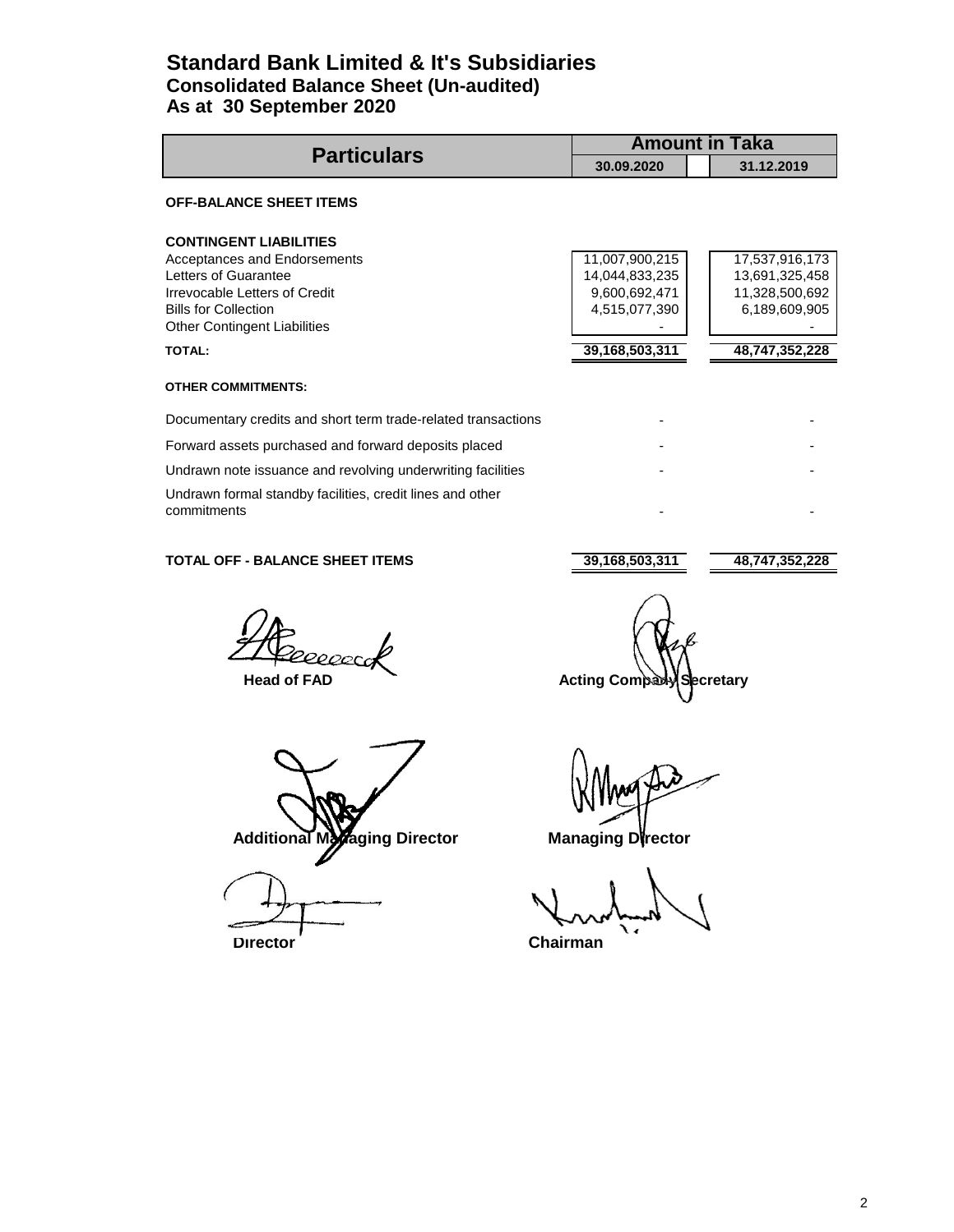### **Standard Bank Limited & It's Subsidiaries Consolidated Balance Sheet (Un-audited) As at 30 September 2020**

| <b>Particulars</b>                                                                                                                                                                                            | <b>Amount in Taka</b>                                                                   |                                                                                       |  |  |
|---------------------------------------------------------------------------------------------------------------------------------------------------------------------------------------------------------------|-----------------------------------------------------------------------------------------|---------------------------------------------------------------------------------------|--|--|
|                                                                                                                                                                                                               | 30.09.2020                                                                              | 31.12.2019                                                                            |  |  |
| <b>OFF-BALANCE SHEET ITEMS</b>                                                                                                                                                                                |                                                                                         |                                                                                       |  |  |
| <b>CONTINGENT LIABILITIES</b><br>Acceptances and Endorsements<br>Letters of Guarantee<br>Irrevocable Letters of Credit<br><b>Bills for Collection</b><br><b>Other Contingent Liabilities</b><br><b>TOTAL:</b> | 11,007,900,215<br>14,044,833,235<br>9,600,692,471<br>4,515,077,390<br>39, 168, 503, 311 | 17,537,916,173<br>13,691,325,458<br>11,328,500,692<br>6,189,609,905<br>48,747,352,228 |  |  |
| <b>OTHER COMMITMENTS:</b>                                                                                                                                                                                     |                                                                                         |                                                                                       |  |  |
| Documentary credits and short term trade-related transactions                                                                                                                                                 |                                                                                         |                                                                                       |  |  |
| Forward assets purchased and forward deposits placed                                                                                                                                                          |                                                                                         |                                                                                       |  |  |
| Undrawn note issuance and revolving underwriting facilities                                                                                                                                                   |                                                                                         |                                                                                       |  |  |
| Undrawn formal standby facilities, credit lines and other<br>commitments                                                                                                                                      |                                                                                         |                                                                                       |  |  |

### **TOTAL OFF - BALANCE SHEET ITEMS 39,168,503,311 48,747,352,228**

20000

Additional Managing Director **Managing Director** 

**Director** Chairman

**Head of FAD** Acting Company Secretary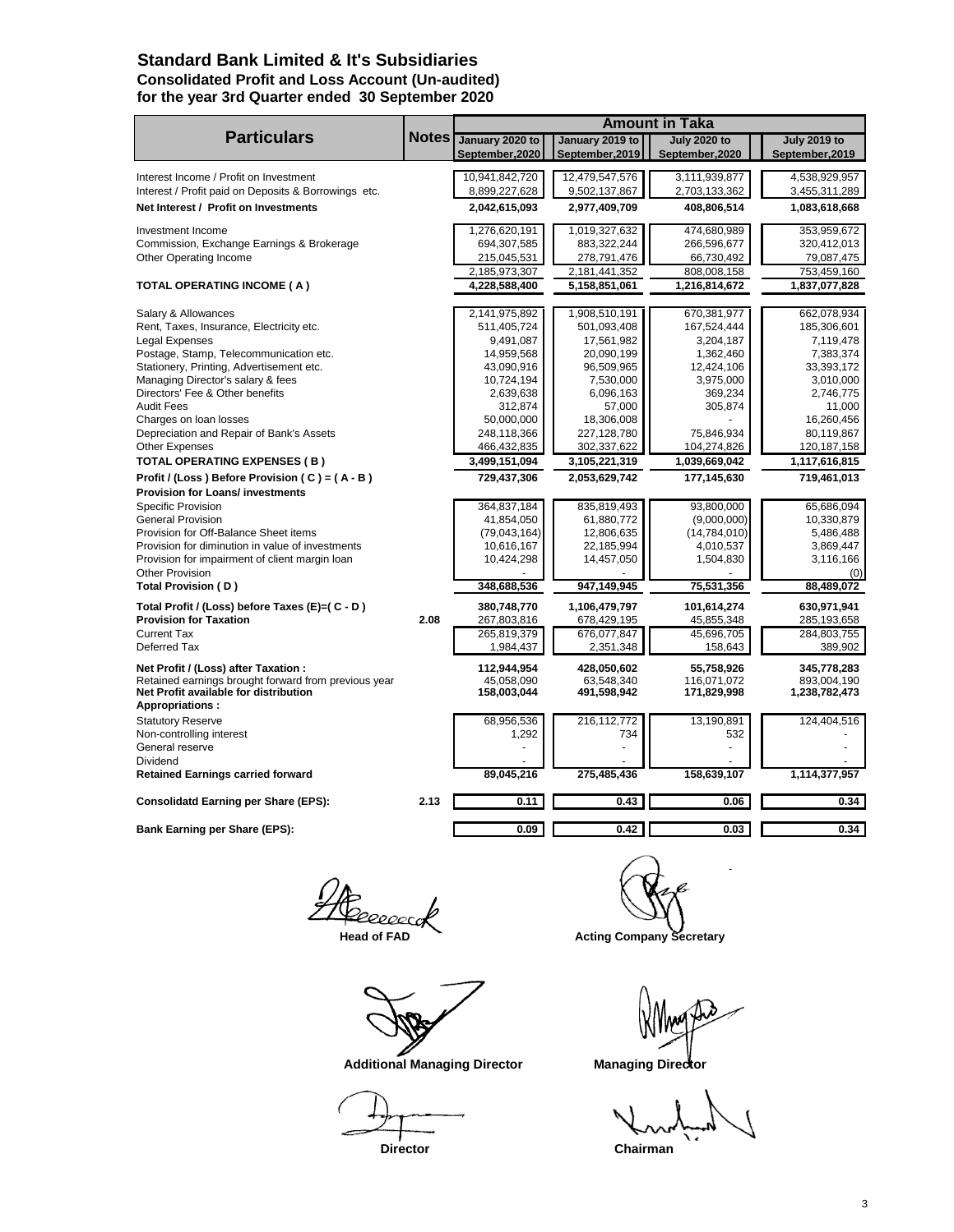### **Standard Bank Limited & It's Subsidiaries Consolidated Profit and Loss Account (Un-audited) for the year 3rd Quarter ended 30 September 2020**

|                                                      |              |                      |                     | <b>Amount in Taka</b> |                     |
|------------------------------------------------------|--------------|----------------------|---------------------|-----------------------|---------------------|
| <b>Particulars</b>                                   | <b>Notes</b> | January 2020 to      | January 2019 to     | <b>July 2020 to</b>   | <b>July 2019 to</b> |
|                                                      |              | September, 2020      | September, 2019     | September, 2020       | September, 2019     |
| Interest Income / Profit on Investment               |              | 10,941,842,720       | 12,479,547,576      | 3,111,939,877         | 4,538,929,957       |
| Interest / Profit paid on Deposits & Borrowings etc. |              | 8,899,227,628        | 9,502,137,867       | 2,703,133,362         | 3,455,311,289       |
| Net Interest / Profit on Investments                 |              | 2,042,615,093        | 2,977,409,709       | 408,806,514           | 1,083,618,668       |
| Investment Income                                    |              | 1,276,620,191        | 1,019,327,632       | 474,680,989           | 353,959,672         |
| Commission, Exchange Earnings & Brokerage            |              | 694,307,585          | 883,322,244         | 266,596,677           | 320,412,013         |
| Other Operating Income                               |              | 215,045,531          | 278,791,476         | 66,730,492            | 79,087,475          |
|                                                      |              | 2,185,973,307        | 2,181,441,352       | 808,008,158           | 753,459,160         |
| <b>TOTAL OPERATING INCOME (A)</b>                    |              | 4,228,588,400        | 5,158,851,061       | 1,216,814,672         | 1,837,077,828       |
|                                                      |              |                      |                     |                       |                     |
| Salary & Allowances                                  |              | 2,141,975,892        | 1,908,510,191       | 670,381,977           | 662,078,934         |
| Rent, Taxes, Insurance, Electricity etc.             |              | 511,405,724          | 501,093,408         | 167,524,444           | 185,306,601         |
| Legal Expenses                                       |              | 9,491,087            | 17,561,982          | 3,204,187             | 7,119,478           |
| Postage, Stamp, Telecommunication etc.               |              | 14,959,568           | 20,090,199          | 1,362,460             | 7,383,374           |
| Stationery, Printing, Advertisement etc.             |              | 43,090,916           | 96,509,965          | 12,424,106            | 33,393,172          |
| Managing Director's salary & fees                    |              | 10,724,194           | 7,530,000           | 3,975,000             | 3,010,000           |
| Directors' Fee & Other benefits<br><b>Audit Fees</b> |              | 2,639,638<br>312,874 | 6,096,163<br>57,000 | 369,234<br>305,874    | 2,746,775<br>11,000 |
| Charges on loan losses                               |              | 50,000,000           | 18,306,008          |                       | 16,260,456          |
| Depreciation and Repair of Bank's Assets             |              | 248,118,366          | 227,128,780         | 75,846,934            | 80,119,867          |
| <b>Other Expenses</b>                                |              | 466,432,835          | 302,337,622         | 104,274,826           | 120, 187, 158       |
| TOTAL OPERATING EXPENSES (B)                         |              | 3,499,151,094        | 3,105,221,319       | 1,039,669,042         | 1,117,616,815       |
| Profit / (Loss) Before Provision (C) = (A - B)       |              | 729,437,306          | 2,053,629,742       | 177,145,630           | 719,461,013         |
| <b>Provision for Loans/ investments</b>              |              |                      |                     |                       |                     |
| Specific Provision                                   |              | 364,837,184          | 835,819,493         | 93,800,000            | 65,686,094          |
| <b>General Provision</b>                             |              | 41,854,050           | 61,880,772          | (9,000,000)           | 10,330,879          |
| Provision for Off-Balance Sheet items                |              | (79,043,164)         | 12,806,635          | (14, 784, 010)        | 5,486,488           |
| Provision for diminution in value of investments     |              | 10,616,167           | 22,185,994          | 4,010,537             | 3,869,447           |
| Provision for impairment of client margin loan       |              | 10,424,298           | 14,457,050          | 1,504,830             | 3,116,166           |
| Other Provision                                      |              |                      |                     |                       | (0)                 |
| Total Provision (D)                                  |              | 348,688,536          | 947,149,945         | 75,531,356            | 88,489,072          |
| Total Profit / (Loss) before Taxes (E)=( C - D)      |              | 380,748,770          | 1,106,479,797       | 101,614,274           | 630,971,941         |
| <b>Provision for Taxation</b>                        | 2.08         | 267,803,816          | 678,429,195         | 45,855,348            | 285,193,658         |
| <b>Current Tax</b>                                   |              | 265,819,379          | 676,077,847         | 45,696,705            | 284,803,755         |
| Deferred Tax                                         |              | 1,984,437            | 2,351,348           | 158,643               | 389,902             |
| Net Profit / (Loss) after Taxation :                 |              | 112,944,954          | 428,050,602         | 55,758,926            | 345,778,283         |
| Retained earnings brought forward from previous year |              | 45.058.090           | 63.548.340          | 116.071.072           | 893.004.190         |
| Net Profit available for distribution                |              | 158,003,044          | 491,598,942         | 171,829,998           | 1,238,782,473       |
| <b>Appropriations:</b>                               |              |                      |                     |                       |                     |
| <b>Statutory Reserve</b>                             |              | 68,956,536           | 216,112,772         | 13,190,891            | 124,404,516         |
| Non-controlling interest                             |              | 1,292                | 734                 | 532                   |                     |
| General reserve<br>Dividend                          |              |                      |                     |                       |                     |
| <b>Retained Earnings carried forward</b>             |              | 89,045,216           | 275,485,436         | 158,639,107           | 1,114,377,957       |
|                                                      |              |                      |                     |                       |                     |
| <b>Consolidatd Earning per Share (EPS):</b>          | 2.13         | 0.11                 | 0.43                | 0.06                  | 0.34                |
| Bank Earning per Share (EPS):                        |              | 0.09                 | 0.42                | 0.03                  | 0.34                |
|                                                      |              |                      |                     |                       |                     |

eeeeca

 $\mathbf{1}$  .

Head of FAD **Acting Company Secretary** 

Additional Managing Director **Managing Director** 

**Director** Chairman

3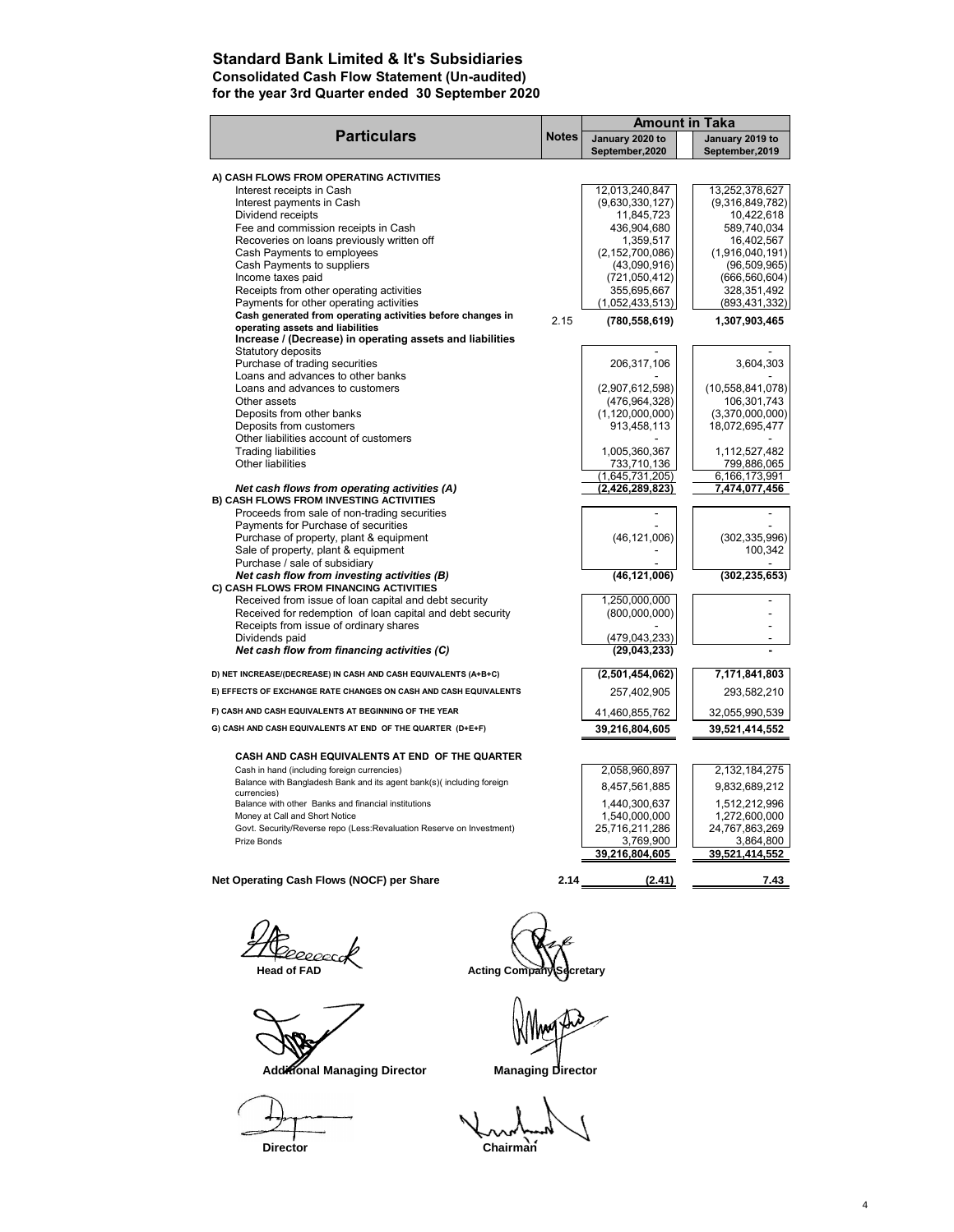### **Standard Bank Limited & It's Subsidiaries Consolidated Cash Flow Statement (Un-audited) for the year 3rd Quarter ended 30 September 2020**

| <b>Notes</b><br>January 2020 to<br>January 2019 to<br>September, 2020<br>September, 2019<br>A) CASH FLOWS FROM OPERATING ACTIVITIES<br>12,013,240,847<br>13,252,378,627<br>Interest receipts in Cash<br>Interest payments in Cash<br>(9,630,330,127)<br>(9,316,849,782)<br>Dividend receipts<br>11,845,723<br>10,422,618<br>Fee and commission receipts in Cash<br>436,904,680<br>589,740,034<br>Recoveries on loans previously written off<br>1,359,517<br>16,402,567<br>Cash Payments to employees<br>(2, 152, 700, 086)<br>(1,916,040,191)<br>Cash Payments to suppliers<br>(43,090,916)<br>(96, 509, 965)<br>Income taxes paid<br>(721,050,412)<br>(666, 560, 604)<br>Receipts from other operating activities<br>355,695,667<br>328,351,492<br>Payments for other operating activities<br>(1,052,433,513)<br>(893, 431, 332)<br>Cash generated from operating activities before changes in<br>2.15<br>(780, 558, 619)<br>1,307,903,465<br>operating assets and liabilities<br>Increase / (Decrease) in operating assets and liabilities<br>Statutory deposits<br>Purchase of trading securities<br>3,604,303<br>206,317,106<br>Loans and advances to other banks<br>Loans and advances to customers<br>(2,907,612,598)<br>(10, 558, 841, 078)<br>Other assets<br>106,301,743<br>(476, 964, 328)<br>(1, 120, 000, 000)<br>Deposits from other banks<br>(3,370,000,000)<br>Deposits from customers<br>913,458,113<br>18,072,695,477<br>Other liabilities account of customers<br><b>Trading liabilities</b><br>1,005,360,367<br>1,112,527,482<br>Other liabilities<br>733,710,136<br>799,886,065<br>(1,645,731,205)<br>6,166,173,991<br>Net cash flows from operating activities (A)<br>(2,426,289,823)<br>7,474,077,456<br>B) CASH FLOWS FROM INVESTING ACTIVITIES<br>Proceeds from sale of non-trading securities<br>Payments for Purchase of securities<br>Purchase of property, plant & equipment<br>(46, 121, 006)<br>Sale of property, plant & equipment<br>Purchase / sale of subsidiary<br>Net cash flow from investing activities (B)<br>(302, 235, 653)<br>(46, 121, 006)<br>C) CASH FLOWS FROM FINANCING ACTIVITIES<br>Received from issue of loan capital and debt security<br>1,250,000,000<br>Received for redemption of loan capital and debt security<br>(800,000,000)<br>Receipts from issue of ordinary shares<br>Dividends paid<br>(479, 043, 233)<br>Net cash flow from financing activities (C)<br>(29,043,233)<br>D) NET INCREASE/(DECREASE) IN CASH AND CASH EQUIVALENTS (A+B+C)<br>(2,501,454,062)<br>E) EFFECTS OF EXCHANGE RATE CHANGES ON CASH AND CASH EQUIVALENTS<br>257,402,905<br>F) CASH AND CASH EQUIVALENTS AT BEGINNING OF THE YEAR<br>41,460,855,762<br>32,055,990,539<br>G) CASH AND CASH EQUIVALENTS AT END OF THE QUARTER (D+E+F)<br>39,216,804,605<br>39,521,414,552<br>CASH AND CASH EQUIVALENTS AT END OF THE QUARTER<br>2,132,184,275<br>Cash in hand (including foreign currencies)<br>2,058,960,897<br>Balance with Bangladesh Bank and its agent bank(s)(including foreign<br>8,457,561,885<br>currencies)<br>1,440,300,637<br>Balance with other Banks and financial institutions<br>1,540,000,000<br>Money at Call and Short Notice<br>Govt. Security/Reverse repo (Less:Revaluation Reserve on Investment)<br>25,716,211,286<br>Prize Bonds<br>3,769,900<br>39,216,804,605<br>Net Operating Cash Flows (NOCF) per Share<br>(2.41) |                    | <b>Amount in Taka</b> |                 |
|---------------------------------------------------------------------------------------------------------------------------------------------------------------------------------------------------------------------------------------------------------------------------------------------------------------------------------------------------------------------------------------------------------------------------------------------------------------------------------------------------------------------------------------------------------------------------------------------------------------------------------------------------------------------------------------------------------------------------------------------------------------------------------------------------------------------------------------------------------------------------------------------------------------------------------------------------------------------------------------------------------------------------------------------------------------------------------------------------------------------------------------------------------------------------------------------------------------------------------------------------------------------------------------------------------------------------------------------------------------------------------------------------------------------------------------------------------------------------------------------------------------------------------------------------------------------------------------------------------------------------------------------------------------------------------------------------------------------------------------------------------------------------------------------------------------------------------------------------------------------------------------------------------------------------------------------------------------------------------------------------------------------------------------------------------------------------------------------------------------------------------------------------------------------------------------------------------------------------------------------------------------------------------------------------------------------------------------------------------------------------------------------------------------------------------------------------------------------------------------------------------------------------------------------------------------------------------------------------------------------------------------------------------------------------------------------------------------------------------------------------------------------------------------------------------------------------------------------------------------------------------------------------------------------------------------------------------------------------------------------------------------------------------------------------------------------------------------------------------------------------------------------------------------------------------------------------------------------------------------------------------------------------------------------------------------------------------------------------------------------------------------|--------------------|-----------------------|-----------------|
|                                                                                                                                                                                                                                                                                                                                                                                                                                                                                                                                                                                                                                                                                                                                                                                                                                                                                                                                                                                                                                                                                                                                                                                                                                                                                                                                                                                                                                                                                                                                                                                                                                                                                                                                                                                                                                                                                                                                                                                                                                                                                                                                                                                                                                                                                                                                                                                                                                                                                                                                                                                                                                                                                                                                                                                                                                                                                                                                                                                                                                                                                                                                                                                                                                                                                                                                                                                       | <b>Particulars</b> |                       |                 |
|                                                                                                                                                                                                                                                                                                                                                                                                                                                                                                                                                                                                                                                                                                                                                                                                                                                                                                                                                                                                                                                                                                                                                                                                                                                                                                                                                                                                                                                                                                                                                                                                                                                                                                                                                                                                                                                                                                                                                                                                                                                                                                                                                                                                                                                                                                                                                                                                                                                                                                                                                                                                                                                                                                                                                                                                                                                                                                                                                                                                                                                                                                                                                                                                                                                                                                                                                                                       |                    |                       |                 |
|                                                                                                                                                                                                                                                                                                                                                                                                                                                                                                                                                                                                                                                                                                                                                                                                                                                                                                                                                                                                                                                                                                                                                                                                                                                                                                                                                                                                                                                                                                                                                                                                                                                                                                                                                                                                                                                                                                                                                                                                                                                                                                                                                                                                                                                                                                                                                                                                                                                                                                                                                                                                                                                                                                                                                                                                                                                                                                                                                                                                                                                                                                                                                                                                                                                                                                                                                                                       |                    |                       |                 |
|                                                                                                                                                                                                                                                                                                                                                                                                                                                                                                                                                                                                                                                                                                                                                                                                                                                                                                                                                                                                                                                                                                                                                                                                                                                                                                                                                                                                                                                                                                                                                                                                                                                                                                                                                                                                                                                                                                                                                                                                                                                                                                                                                                                                                                                                                                                                                                                                                                                                                                                                                                                                                                                                                                                                                                                                                                                                                                                                                                                                                                                                                                                                                                                                                                                                                                                                                                                       |                    |                       |                 |
|                                                                                                                                                                                                                                                                                                                                                                                                                                                                                                                                                                                                                                                                                                                                                                                                                                                                                                                                                                                                                                                                                                                                                                                                                                                                                                                                                                                                                                                                                                                                                                                                                                                                                                                                                                                                                                                                                                                                                                                                                                                                                                                                                                                                                                                                                                                                                                                                                                                                                                                                                                                                                                                                                                                                                                                                                                                                                                                                                                                                                                                                                                                                                                                                                                                                                                                                                                                       |                    |                       |                 |
|                                                                                                                                                                                                                                                                                                                                                                                                                                                                                                                                                                                                                                                                                                                                                                                                                                                                                                                                                                                                                                                                                                                                                                                                                                                                                                                                                                                                                                                                                                                                                                                                                                                                                                                                                                                                                                                                                                                                                                                                                                                                                                                                                                                                                                                                                                                                                                                                                                                                                                                                                                                                                                                                                                                                                                                                                                                                                                                                                                                                                                                                                                                                                                                                                                                                                                                                                                                       |                    |                       |                 |
|                                                                                                                                                                                                                                                                                                                                                                                                                                                                                                                                                                                                                                                                                                                                                                                                                                                                                                                                                                                                                                                                                                                                                                                                                                                                                                                                                                                                                                                                                                                                                                                                                                                                                                                                                                                                                                                                                                                                                                                                                                                                                                                                                                                                                                                                                                                                                                                                                                                                                                                                                                                                                                                                                                                                                                                                                                                                                                                                                                                                                                                                                                                                                                                                                                                                                                                                                                                       |                    |                       |                 |
|                                                                                                                                                                                                                                                                                                                                                                                                                                                                                                                                                                                                                                                                                                                                                                                                                                                                                                                                                                                                                                                                                                                                                                                                                                                                                                                                                                                                                                                                                                                                                                                                                                                                                                                                                                                                                                                                                                                                                                                                                                                                                                                                                                                                                                                                                                                                                                                                                                                                                                                                                                                                                                                                                                                                                                                                                                                                                                                                                                                                                                                                                                                                                                                                                                                                                                                                                                                       |                    |                       |                 |
|                                                                                                                                                                                                                                                                                                                                                                                                                                                                                                                                                                                                                                                                                                                                                                                                                                                                                                                                                                                                                                                                                                                                                                                                                                                                                                                                                                                                                                                                                                                                                                                                                                                                                                                                                                                                                                                                                                                                                                                                                                                                                                                                                                                                                                                                                                                                                                                                                                                                                                                                                                                                                                                                                                                                                                                                                                                                                                                                                                                                                                                                                                                                                                                                                                                                                                                                                                                       |                    |                       |                 |
|                                                                                                                                                                                                                                                                                                                                                                                                                                                                                                                                                                                                                                                                                                                                                                                                                                                                                                                                                                                                                                                                                                                                                                                                                                                                                                                                                                                                                                                                                                                                                                                                                                                                                                                                                                                                                                                                                                                                                                                                                                                                                                                                                                                                                                                                                                                                                                                                                                                                                                                                                                                                                                                                                                                                                                                                                                                                                                                                                                                                                                                                                                                                                                                                                                                                                                                                                                                       |                    |                       |                 |
|                                                                                                                                                                                                                                                                                                                                                                                                                                                                                                                                                                                                                                                                                                                                                                                                                                                                                                                                                                                                                                                                                                                                                                                                                                                                                                                                                                                                                                                                                                                                                                                                                                                                                                                                                                                                                                                                                                                                                                                                                                                                                                                                                                                                                                                                                                                                                                                                                                                                                                                                                                                                                                                                                                                                                                                                                                                                                                                                                                                                                                                                                                                                                                                                                                                                                                                                                                                       |                    |                       |                 |
|                                                                                                                                                                                                                                                                                                                                                                                                                                                                                                                                                                                                                                                                                                                                                                                                                                                                                                                                                                                                                                                                                                                                                                                                                                                                                                                                                                                                                                                                                                                                                                                                                                                                                                                                                                                                                                                                                                                                                                                                                                                                                                                                                                                                                                                                                                                                                                                                                                                                                                                                                                                                                                                                                                                                                                                                                                                                                                                                                                                                                                                                                                                                                                                                                                                                                                                                                                                       |                    |                       |                 |
|                                                                                                                                                                                                                                                                                                                                                                                                                                                                                                                                                                                                                                                                                                                                                                                                                                                                                                                                                                                                                                                                                                                                                                                                                                                                                                                                                                                                                                                                                                                                                                                                                                                                                                                                                                                                                                                                                                                                                                                                                                                                                                                                                                                                                                                                                                                                                                                                                                                                                                                                                                                                                                                                                                                                                                                                                                                                                                                                                                                                                                                                                                                                                                                                                                                                                                                                                                                       |                    |                       |                 |
|                                                                                                                                                                                                                                                                                                                                                                                                                                                                                                                                                                                                                                                                                                                                                                                                                                                                                                                                                                                                                                                                                                                                                                                                                                                                                                                                                                                                                                                                                                                                                                                                                                                                                                                                                                                                                                                                                                                                                                                                                                                                                                                                                                                                                                                                                                                                                                                                                                                                                                                                                                                                                                                                                                                                                                                                                                                                                                                                                                                                                                                                                                                                                                                                                                                                                                                                                                                       |                    |                       |                 |
|                                                                                                                                                                                                                                                                                                                                                                                                                                                                                                                                                                                                                                                                                                                                                                                                                                                                                                                                                                                                                                                                                                                                                                                                                                                                                                                                                                                                                                                                                                                                                                                                                                                                                                                                                                                                                                                                                                                                                                                                                                                                                                                                                                                                                                                                                                                                                                                                                                                                                                                                                                                                                                                                                                                                                                                                                                                                                                                                                                                                                                                                                                                                                                                                                                                                                                                                                                                       |                    |                       |                 |
|                                                                                                                                                                                                                                                                                                                                                                                                                                                                                                                                                                                                                                                                                                                                                                                                                                                                                                                                                                                                                                                                                                                                                                                                                                                                                                                                                                                                                                                                                                                                                                                                                                                                                                                                                                                                                                                                                                                                                                                                                                                                                                                                                                                                                                                                                                                                                                                                                                                                                                                                                                                                                                                                                                                                                                                                                                                                                                                                                                                                                                                                                                                                                                                                                                                                                                                                                                                       |                    |                       |                 |
|                                                                                                                                                                                                                                                                                                                                                                                                                                                                                                                                                                                                                                                                                                                                                                                                                                                                                                                                                                                                                                                                                                                                                                                                                                                                                                                                                                                                                                                                                                                                                                                                                                                                                                                                                                                                                                                                                                                                                                                                                                                                                                                                                                                                                                                                                                                                                                                                                                                                                                                                                                                                                                                                                                                                                                                                                                                                                                                                                                                                                                                                                                                                                                                                                                                                                                                                                                                       |                    |                       |                 |
|                                                                                                                                                                                                                                                                                                                                                                                                                                                                                                                                                                                                                                                                                                                                                                                                                                                                                                                                                                                                                                                                                                                                                                                                                                                                                                                                                                                                                                                                                                                                                                                                                                                                                                                                                                                                                                                                                                                                                                                                                                                                                                                                                                                                                                                                                                                                                                                                                                                                                                                                                                                                                                                                                                                                                                                                                                                                                                                                                                                                                                                                                                                                                                                                                                                                                                                                                                                       |                    |                       |                 |
|                                                                                                                                                                                                                                                                                                                                                                                                                                                                                                                                                                                                                                                                                                                                                                                                                                                                                                                                                                                                                                                                                                                                                                                                                                                                                                                                                                                                                                                                                                                                                                                                                                                                                                                                                                                                                                                                                                                                                                                                                                                                                                                                                                                                                                                                                                                                                                                                                                                                                                                                                                                                                                                                                                                                                                                                                                                                                                                                                                                                                                                                                                                                                                                                                                                                                                                                                                                       |                    |                       |                 |
|                                                                                                                                                                                                                                                                                                                                                                                                                                                                                                                                                                                                                                                                                                                                                                                                                                                                                                                                                                                                                                                                                                                                                                                                                                                                                                                                                                                                                                                                                                                                                                                                                                                                                                                                                                                                                                                                                                                                                                                                                                                                                                                                                                                                                                                                                                                                                                                                                                                                                                                                                                                                                                                                                                                                                                                                                                                                                                                                                                                                                                                                                                                                                                                                                                                                                                                                                                                       |                    |                       |                 |
|                                                                                                                                                                                                                                                                                                                                                                                                                                                                                                                                                                                                                                                                                                                                                                                                                                                                                                                                                                                                                                                                                                                                                                                                                                                                                                                                                                                                                                                                                                                                                                                                                                                                                                                                                                                                                                                                                                                                                                                                                                                                                                                                                                                                                                                                                                                                                                                                                                                                                                                                                                                                                                                                                                                                                                                                                                                                                                                                                                                                                                                                                                                                                                                                                                                                                                                                                                                       |                    |                       |                 |
|                                                                                                                                                                                                                                                                                                                                                                                                                                                                                                                                                                                                                                                                                                                                                                                                                                                                                                                                                                                                                                                                                                                                                                                                                                                                                                                                                                                                                                                                                                                                                                                                                                                                                                                                                                                                                                                                                                                                                                                                                                                                                                                                                                                                                                                                                                                                                                                                                                                                                                                                                                                                                                                                                                                                                                                                                                                                                                                                                                                                                                                                                                                                                                                                                                                                                                                                                                                       |                    |                       |                 |
|                                                                                                                                                                                                                                                                                                                                                                                                                                                                                                                                                                                                                                                                                                                                                                                                                                                                                                                                                                                                                                                                                                                                                                                                                                                                                                                                                                                                                                                                                                                                                                                                                                                                                                                                                                                                                                                                                                                                                                                                                                                                                                                                                                                                                                                                                                                                                                                                                                                                                                                                                                                                                                                                                                                                                                                                                                                                                                                                                                                                                                                                                                                                                                                                                                                                                                                                                                                       |                    |                       |                 |
|                                                                                                                                                                                                                                                                                                                                                                                                                                                                                                                                                                                                                                                                                                                                                                                                                                                                                                                                                                                                                                                                                                                                                                                                                                                                                                                                                                                                                                                                                                                                                                                                                                                                                                                                                                                                                                                                                                                                                                                                                                                                                                                                                                                                                                                                                                                                                                                                                                                                                                                                                                                                                                                                                                                                                                                                                                                                                                                                                                                                                                                                                                                                                                                                                                                                                                                                                                                       |                    |                       |                 |
|                                                                                                                                                                                                                                                                                                                                                                                                                                                                                                                                                                                                                                                                                                                                                                                                                                                                                                                                                                                                                                                                                                                                                                                                                                                                                                                                                                                                                                                                                                                                                                                                                                                                                                                                                                                                                                                                                                                                                                                                                                                                                                                                                                                                                                                                                                                                                                                                                                                                                                                                                                                                                                                                                                                                                                                                                                                                                                                                                                                                                                                                                                                                                                                                                                                                                                                                                                                       |                    |                       |                 |
|                                                                                                                                                                                                                                                                                                                                                                                                                                                                                                                                                                                                                                                                                                                                                                                                                                                                                                                                                                                                                                                                                                                                                                                                                                                                                                                                                                                                                                                                                                                                                                                                                                                                                                                                                                                                                                                                                                                                                                                                                                                                                                                                                                                                                                                                                                                                                                                                                                                                                                                                                                                                                                                                                                                                                                                                                                                                                                                                                                                                                                                                                                                                                                                                                                                                                                                                                                                       |                    |                       |                 |
|                                                                                                                                                                                                                                                                                                                                                                                                                                                                                                                                                                                                                                                                                                                                                                                                                                                                                                                                                                                                                                                                                                                                                                                                                                                                                                                                                                                                                                                                                                                                                                                                                                                                                                                                                                                                                                                                                                                                                                                                                                                                                                                                                                                                                                                                                                                                                                                                                                                                                                                                                                                                                                                                                                                                                                                                                                                                                                                                                                                                                                                                                                                                                                                                                                                                                                                                                                                       |                    |                       |                 |
|                                                                                                                                                                                                                                                                                                                                                                                                                                                                                                                                                                                                                                                                                                                                                                                                                                                                                                                                                                                                                                                                                                                                                                                                                                                                                                                                                                                                                                                                                                                                                                                                                                                                                                                                                                                                                                                                                                                                                                                                                                                                                                                                                                                                                                                                                                                                                                                                                                                                                                                                                                                                                                                                                                                                                                                                                                                                                                                                                                                                                                                                                                                                                                                                                                                                                                                                                                                       |                    |                       |                 |
|                                                                                                                                                                                                                                                                                                                                                                                                                                                                                                                                                                                                                                                                                                                                                                                                                                                                                                                                                                                                                                                                                                                                                                                                                                                                                                                                                                                                                                                                                                                                                                                                                                                                                                                                                                                                                                                                                                                                                                                                                                                                                                                                                                                                                                                                                                                                                                                                                                                                                                                                                                                                                                                                                                                                                                                                                                                                                                                                                                                                                                                                                                                                                                                                                                                                                                                                                                                       |                    |                       |                 |
|                                                                                                                                                                                                                                                                                                                                                                                                                                                                                                                                                                                                                                                                                                                                                                                                                                                                                                                                                                                                                                                                                                                                                                                                                                                                                                                                                                                                                                                                                                                                                                                                                                                                                                                                                                                                                                                                                                                                                                                                                                                                                                                                                                                                                                                                                                                                                                                                                                                                                                                                                                                                                                                                                                                                                                                                                                                                                                                                                                                                                                                                                                                                                                                                                                                                                                                                                                                       |                    |                       | (302, 335, 996) |
|                                                                                                                                                                                                                                                                                                                                                                                                                                                                                                                                                                                                                                                                                                                                                                                                                                                                                                                                                                                                                                                                                                                                                                                                                                                                                                                                                                                                                                                                                                                                                                                                                                                                                                                                                                                                                                                                                                                                                                                                                                                                                                                                                                                                                                                                                                                                                                                                                                                                                                                                                                                                                                                                                                                                                                                                                                                                                                                                                                                                                                                                                                                                                                                                                                                                                                                                                                                       |                    |                       | 100,342         |
|                                                                                                                                                                                                                                                                                                                                                                                                                                                                                                                                                                                                                                                                                                                                                                                                                                                                                                                                                                                                                                                                                                                                                                                                                                                                                                                                                                                                                                                                                                                                                                                                                                                                                                                                                                                                                                                                                                                                                                                                                                                                                                                                                                                                                                                                                                                                                                                                                                                                                                                                                                                                                                                                                                                                                                                                                                                                                                                                                                                                                                                                                                                                                                                                                                                                                                                                                                                       |                    |                       |                 |
|                                                                                                                                                                                                                                                                                                                                                                                                                                                                                                                                                                                                                                                                                                                                                                                                                                                                                                                                                                                                                                                                                                                                                                                                                                                                                                                                                                                                                                                                                                                                                                                                                                                                                                                                                                                                                                                                                                                                                                                                                                                                                                                                                                                                                                                                                                                                                                                                                                                                                                                                                                                                                                                                                                                                                                                                                                                                                                                                                                                                                                                                                                                                                                                                                                                                                                                                                                                       |                    |                       |                 |
|                                                                                                                                                                                                                                                                                                                                                                                                                                                                                                                                                                                                                                                                                                                                                                                                                                                                                                                                                                                                                                                                                                                                                                                                                                                                                                                                                                                                                                                                                                                                                                                                                                                                                                                                                                                                                                                                                                                                                                                                                                                                                                                                                                                                                                                                                                                                                                                                                                                                                                                                                                                                                                                                                                                                                                                                                                                                                                                                                                                                                                                                                                                                                                                                                                                                                                                                                                                       |                    |                       |                 |
|                                                                                                                                                                                                                                                                                                                                                                                                                                                                                                                                                                                                                                                                                                                                                                                                                                                                                                                                                                                                                                                                                                                                                                                                                                                                                                                                                                                                                                                                                                                                                                                                                                                                                                                                                                                                                                                                                                                                                                                                                                                                                                                                                                                                                                                                                                                                                                                                                                                                                                                                                                                                                                                                                                                                                                                                                                                                                                                                                                                                                                                                                                                                                                                                                                                                                                                                                                                       |                    |                       |                 |
|                                                                                                                                                                                                                                                                                                                                                                                                                                                                                                                                                                                                                                                                                                                                                                                                                                                                                                                                                                                                                                                                                                                                                                                                                                                                                                                                                                                                                                                                                                                                                                                                                                                                                                                                                                                                                                                                                                                                                                                                                                                                                                                                                                                                                                                                                                                                                                                                                                                                                                                                                                                                                                                                                                                                                                                                                                                                                                                                                                                                                                                                                                                                                                                                                                                                                                                                                                                       |                    |                       |                 |
|                                                                                                                                                                                                                                                                                                                                                                                                                                                                                                                                                                                                                                                                                                                                                                                                                                                                                                                                                                                                                                                                                                                                                                                                                                                                                                                                                                                                                                                                                                                                                                                                                                                                                                                                                                                                                                                                                                                                                                                                                                                                                                                                                                                                                                                                                                                                                                                                                                                                                                                                                                                                                                                                                                                                                                                                                                                                                                                                                                                                                                                                                                                                                                                                                                                                                                                                                                                       |                    |                       |                 |
|                                                                                                                                                                                                                                                                                                                                                                                                                                                                                                                                                                                                                                                                                                                                                                                                                                                                                                                                                                                                                                                                                                                                                                                                                                                                                                                                                                                                                                                                                                                                                                                                                                                                                                                                                                                                                                                                                                                                                                                                                                                                                                                                                                                                                                                                                                                                                                                                                                                                                                                                                                                                                                                                                                                                                                                                                                                                                                                                                                                                                                                                                                                                                                                                                                                                                                                                                                                       |                    |                       |                 |
|                                                                                                                                                                                                                                                                                                                                                                                                                                                                                                                                                                                                                                                                                                                                                                                                                                                                                                                                                                                                                                                                                                                                                                                                                                                                                                                                                                                                                                                                                                                                                                                                                                                                                                                                                                                                                                                                                                                                                                                                                                                                                                                                                                                                                                                                                                                                                                                                                                                                                                                                                                                                                                                                                                                                                                                                                                                                                                                                                                                                                                                                                                                                                                                                                                                                                                                                                                                       |                    |                       |                 |
|                                                                                                                                                                                                                                                                                                                                                                                                                                                                                                                                                                                                                                                                                                                                                                                                                                                                                                                                                                                                                                                                                                                                                                                                                                                                                                                                                                                                                                                                                                                                                                                                                                                                                                                                                                                                                                                                                                                                                                                                                                                                                                                                                                                                                                                                                                                                                                                                                                                                                                                                                                                                                                                                                                                                                                                                                                                                                                                                                                                                                                                                                                                                                                                                                                                                                                                                                                                       |                    |                       | 7,171,841,803   |
|                                                                                                                                                                                                                                                                                                                                                                                                                                                                                                                                                                                                                                                                                                                                                                                                                                                                                                                                                                                                                                                                                                                                                                                                                                                                                                                                                                                                                                                                                                                                                                                                                                                                                                                                                                                                                                                                                                                                                                                                                                                                                                                                                                                                                                                                                                                                                                                                                                                                                                                                                                                                                                                                                                                                                                                                                                                                                                                                                                                                                                                                                                                                                                                                                                                                                                                                                                                       |                    |                       | 293,582,210     |
|                                                                                                                                                                                                                                                                                                                                                                                                                                                                                                                                                                                                                                                                                                                                                                                                                                                                                                                                                                                                                                                                                                                                                                                                                                                                                                                                                                                                                                                                                                                                                                                                                                                                                                                                                                                                                                                                                                                                                                                                                                                                                                                                                                                                                                                                                                                                                                                                                                                                                                                                                                                                                                                                                                                                                                                                                                                                                                                                                                                                                                                                                                                                                                                                                                                                                                                                                                                       |                    |                       |                 |
|                                                                                                                                                                                                                                                                                                                                                                                                                                                                                                                                                                                                                                                                                                                                                                                                                                                                                                                                                                                                                                                                                                                                                                                                                                                                                                                                                                                                                                                                                                                                                                                                                                                                                                                                                                                                                                                                                                                                                                                                                                                                                                                                                                                                                                                                                                                                                                                                                                                                                                                                                                                                                                                                                                                                                                                                                                                                                                                                                                                                                                                                                                                                                                                                                                                                                                                                                                                       |                    |                       |                 |
|                                                                                                                                                                                                                                                                                                                                                                                                                                                                                                                                                                                                                                                                                                                                                                                                                                                                                                                                                                                                                                                                                                                                                                                                                                                                                                                                                                                                                                                                                                                                                                                                                                                                                                                                                                                                                                                                                                                                                                                                                                                                                                                                                                                                                                                                                                                                                                                                                                                                                                                                                                                                                                                                                                                                                                                                                                                                                                                                                                                                                                                                                                                                                                                                                                                                                                                                                                                       |                    |                       |                 |
|                                                                                                                                                                                                                                                                                                                                                                                                                                                                                                                                                                                                                                                                                                                                                                                                                                                                                                                                                                                                                                                                                                                                                                                                                                                                                                                                                                                                                                                                                                                                                                                                                                                                                                                                                                                                                                                                                                                                                                                                                                                                                                                                                                                                                                                                                                                                                                                                                                                                                                                                                                                                                                                                                                                                                                                                                                                                                                                                                                                                                                                                                                                                                                                                                                                                                                                                                                                       |                    |                       |                 |
|                                                                                                                                                                                                                                                                                                                                                                                                                                                                                                                                                                                                                                                                                                                                                                                                                                                                                                                                                                                                                                                                                                                                                                                                                                                                                                                                                                                                                                                                                                                                                                                                                                                                                                                                                                                                                                                                                                                                                                                                                                                                                                                                                                                                                                                                                                                                                                                                                                                                                                                                                                                                                                                                                                                                                                                                                                                                                                                                                                                                                                                                                                                                                                                                                                                                                                                                                                                       |                    |                       |                 |
|                                                                                                                                                                                                                                                                                                                                                                                                                                                                                                                                                                                                                                                                                                                                                                                                                                                                                                                                                                                                                                                                                                                                                                                                                                                                                                                                                                                                                                                                                                                                                                                                                                                                                                                                                                                                                                                                                                                                                                                                                                                                                                                                                                                                                                                                                                                                                                                                                                                                                                                                                                                                                                                                                                                                                                                                                                                                                                                                                                                                                                                                                                                                                                                                                                                                                                                                                                                       |                    |                       | 9,832,689,212   |
|                                                                                                                                                                                                                                                                                                                                                                                                                                                                                                                                                                                                                                                                                                                                                                                                                                                                                                                                                                                                                                                                                                                                                                                                                                                                                                                                                                                                                                                                                                                                                                                                                                                                                                                                                                                                                                                                                                                                                                                                                                                                                                                                                                                                                                                                                                                                                                                                                                                                                                                                                                                                                                                                                                                                                                                                                                                                                                                                                                                                                                                                                                                                                                                                                                                                                                                                                                                       |                    |                       | 1,512,212,996   |
|                                                                                                                                                                                                                                                                                                                                                                                                                                                                                                                                                                                                                                                                                                                                                                                                                                                                                                                                                                                                                                                                                                                                                                                                                                                                                                                                                                                                                                                                                                                                                                                                                                                                                                                                                                                                                                                                                                                                                                                                                                                                                                                                                                                                                                                                                                                                                                                                                                                                                                                                                                                                                                                                                                                                                                                                                                                                                                                                                                                                                                                                                                                                                                                                                                                                                                                                                                                       |                    |                       | 1,272,600,000   |
|                                                                                                                                                                                                                                                                                                                                                                                                                                                                                                                                                                                                                                                                                                                                                                                                                                                                                                                                                                                                                                                                                                                                                                                                                                                                                                                                                                                                                                                                                                                                                                                                                                                                                                                                                                                                                                                                                                                                                                                                                                                                                                                                                                                                                                                                                                                                                                                                                                                                                                                                                                                                                                                                                                                                                                                                                                                                                                                                                                                                                                                                                                                                                                                                                                                                                                                                                                                       |                    |                       | 24,767,863,269  |
|                                                                                                                                                                                                                                                                                                                                                                                                                                                                                                                                                                                                                                                                                                                                                                                                                                                                                                                                                                                                                                                                                                                                                                                                                                                                                                                                                                                                                                                                                                                                                                                                                                                                                                                                                                                                                                                                                                                                                                                                                                                                                                                                                                                                                                                                                                                                                                                                                                                                                                                                                                                                                                                                                                                                                                                                                                                                                                                                                                                                                                                                                                                                                                                                                                                                                                                                                                                       |                    |                       | 3,864,800       |
|                                                                                                                                                                                                                                                                                                                                                                                                                                                                                                                                                                                                                                                                                                                                                                                                                                                                                                                                                                                                                                                                                                                                                                                                                                                                                                                                                                                                                                                                                                                                                                                                                                                                                                                                                                                                                                                                                                                                                                                                                                                                                                                                                                                                                                                                                                                                                                                                                                                                                                                                                                                                                                                                                                                                                                                                                                                                                                                                                                                                                                                                                                                                                                                                                                                                                                                                                                                       |                    |                       | 39,521,414,552  |
|                                                                                                                                                                                                                                                                                                                                                                                                                                                                                                                                                                                                                                                                                                                                                                                                                                                                                                                                                                                                                                                                                                                                                                                                                                                                                                                                                                                                                                                                                                                                                                                                                                                                                                                                                                                                                                                                                                                                                                                                                                                                                                                                                                                                                                                                                                                                                                                                                                                                                                                                                                                                                                                                                                                                                                                                                                                                                                                                                                                                                                                                                                                                                                                                                                                                                                                                                                                       |                    |                       | 7.43            |

2eeeccck

 $\mathscr{B}$ 

Additional Managing Director **Managing Director** 

Head of FAD **Acting Company Secretary** 

**Director** Chairman<sup>1</sup>

4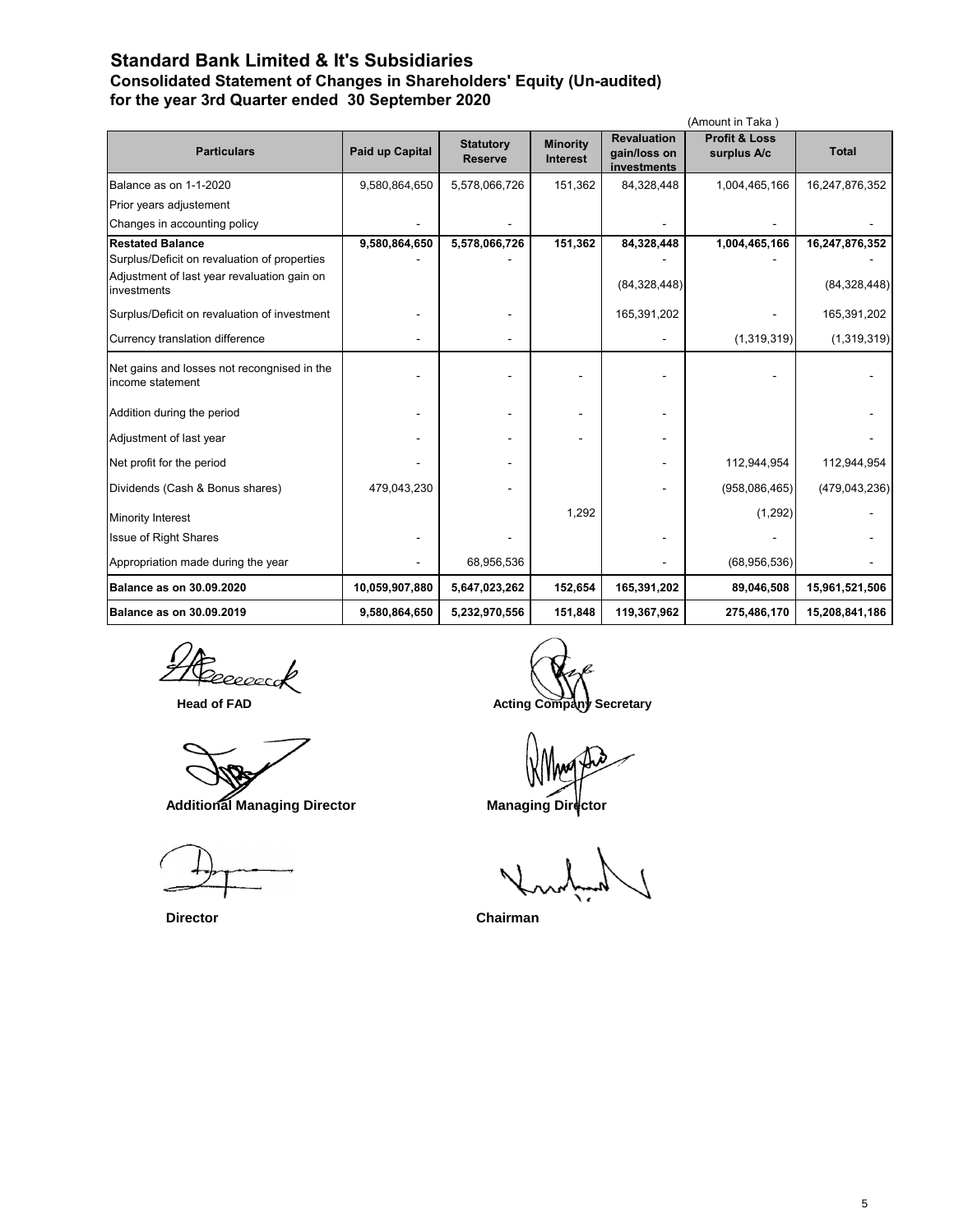### **Standard Bank Limited & It's Subsidiaries Consolidated Statement of Changes in Shareholders' Equity (Un-audited) for the year 3rd Quarter ended 30 September 2020**

|                                                                 |                 |                                    |                                    |                                                   | (Amount in Taka)                        |                 |
|-----------------------------------------------------------------|-----------------|------------------------------------|------------------------------------|---------------------------------------------------|-----------------------------------------|-----------------|
| <b>Particulars</b>                                              | Paid up Capital | <b>Statutory</b><br><b>Reserve</b> | <b>Minority</b><br><b>Interest</b> | <b>Revaluation</b><br>gain/loss on<br>investments | <b>Profit &amp; Loss</b><br>surplus A/c | <b>Total</b>    |
| Balance as on 1-1-2020                                          | 9,580,864,650   | 5,578,066,726                      | 151,362                            | 84,328,448                                        | 1,004,465,166                           | 16,247,876,352  |
| Prior years adjustement                                         |                 |                                    |                                    |                                                   |                                         |                 |
| Changes in accounting policy                                    |                 |                                    |                                    |                                                   |                                         |                 |
| <b>Restated Balance</b>                                         | 9,580,864,650   | 5,578,066,726                      | 151,362                            | 84,328,448                                        | 1,004,465,166                           | 16,247,876,352  |
| Surplus/Deficit on revaluation of properties                    |                 |                                    |                                    |                                                   |                                         |                 |
| Adjustment of last year revaluation gain on<br>investments      |                 |                                    |                                    | (84, 328, 448)                                    |                                         | (84, 328, 448)  |
| Surplus/Deficit on revaluation of investment                    |                 |                                    |                                    | 165,391,202                                       |                                         | 165,391,202     |
| Currency translation difference                                 |                 |                                    |                                    |                                                   | (1,319,319)                             | (1,319,319)     |
| Net gains and losses not recongnised in the<br>income statement |                 |                                    |                                    |                                                   |                                         |                 |
| Addition during the period                                      |                 |                                    |                                    |                                                   |                                         |                 |
| Adjustment of last year                                         |                 |                                    |                                    |                                                   |                                         |                 |
| Net profit for the period                                       |                 |                                    |                                    |                                                   | 112,944,954                             | 112,944,954     |
| Dividends (Cash & Bonus shares)                                 | 479,043,230     |                                    |                                    |                                                   | (958,086,465)                           | (479, 043, 236) |
| Minority Interest                                               |                 |                                    | 1,292                              |                                                   | (1,292)                                 |                 |
| <b>Issue of Right Shares</b>                                    |                 |                                    |                                    |                                                   |                                         |                 |
| Appropriation made during the year                              |                 | 68,956,536                         |                                    |                                                   | (68,956,536)                            |                 |
| Balance as on 30.09.2020                                        | 10,059,907,880  | 5,647,023,262                      | 152,654                            | 165,391,202                                       | 89,046,508                              | 15,961,521,506  |
| <b>Balance as on 30.09.2019</b>                                 | 9,580,864,650   | 5,232,970,556                      | 151,848                            | 119,367,962                                       | 275,486,170                             | 15,208,841,186  |

reeaccock

g

 **Additional Managing Director Managing Director** 

**Head of FAD Acting Company Secretary** 

 **Director Chairman**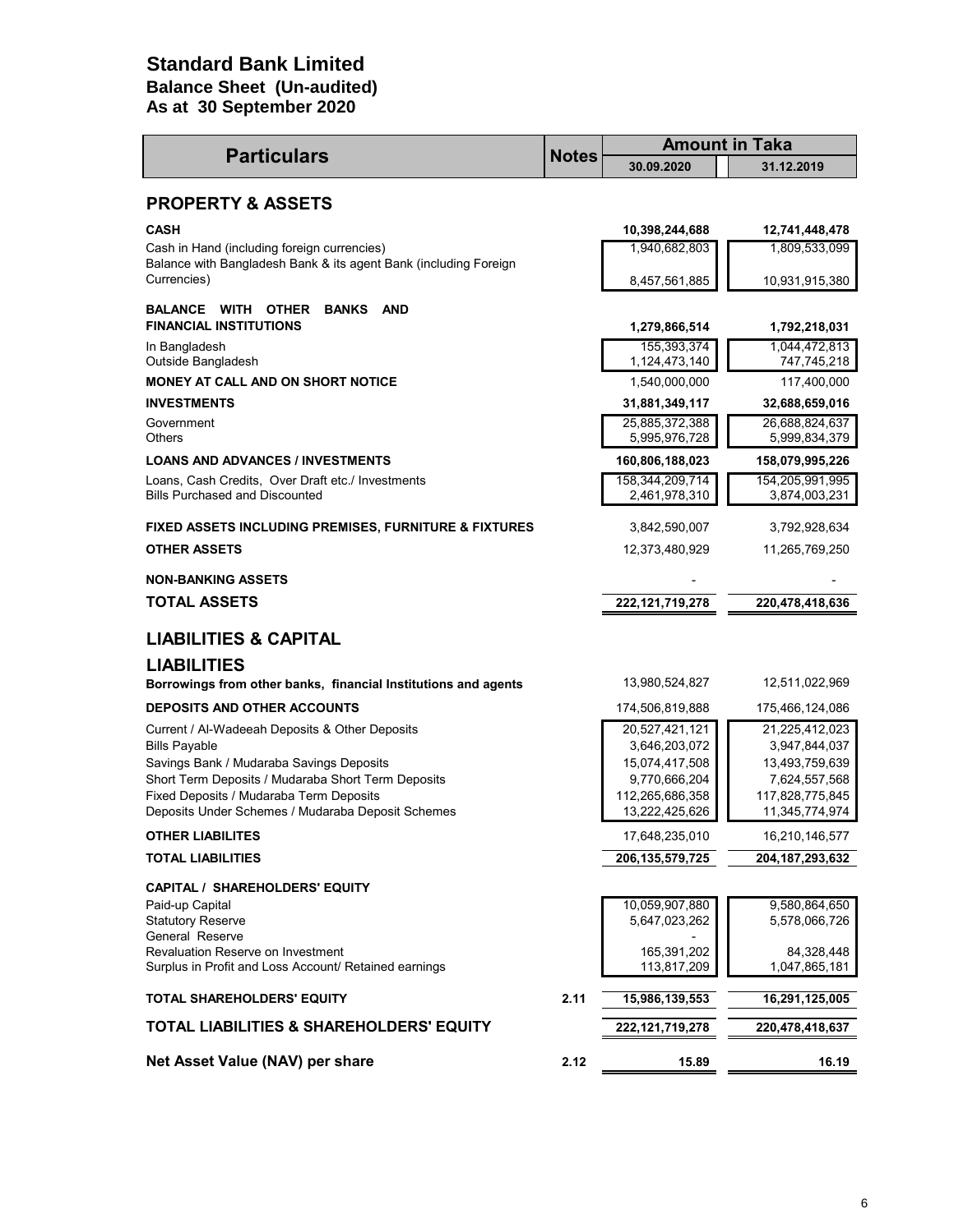## **As at 30 September 2020 Standard Bank Limited Balance Sheet (Un-audited)**

| <b>Particulars</b>                                                                         | <b>Notes</b> |                                  | <b>Amount in Taka</b>            |  |  |
|--------------------------------------------------------------------------------------------|--------------|----------------------------------|----------------------------------|--|--|
|                                                                                            |              | 30.09.2020                       | 31.12.2019                       |  |  |
| <b>PROPERTY &amp; ASSETS</b>                                                               |              |                                  |                                  |  |  |
| <b>CASH</b>                                                                                |              | 10,398,244,688                   | 12,741,448,478                   |  |  |
| Cash in Hand (including foreign currencies)                                                |              | 1,940,682,803                    | 1,809,533,099                    |  |  |
| Balance with Bangladesh Bank & its agent Bank (including Foreign<br>Currencies)            |              | 8,457,561,885                    | 10,931,915,380                   |  |  |
| <b>BALANCE WITH OTHER</b><br><b>BANKS</b><br><b>AND</b><br><b>FINANCIAL INSTITUTIONS</b>   |              | 1,279,866,514                    | 1,792,218,031                    |  |  |
| In Bangladesh<br>Outside Bangladesh                                                        |              | 155,393,374<br>1,124,473,140     | 1,044,472,813<br>747,745,218     |  |  |
| <b>MONEY AT CALL AND ON SHORT NOTICE</b>                                                   |              | 1,540,000,000                    | 117,400,000                      |  |  |
| <b>INVESTMENTS</b>                                                                         |              | 31,881,349,117                   | 32,688,659,016                   |  |  |
| Government<br><b>Others</b>                                                                |              | 25,885,372,388<br>5,995,976,728  | 26,688,824,637<br>5,999,834,379  |  |  |
| <b>LOANS AND ADVANCES / INVESTMENTS</b>                                                    |              | 160,806,188,023                  | 158,079,995,226                  |  |  |
| Loans, Cash Credits, Over Draft etc./ Investments<br><b>Bills Purchased and Discounted</b> |              | 158,344,209,714<br>2,461,978,310 | 154,205,991,995<br>3,874,003,231 |  |  |
| <b>FIXED ASSETS INCLUDING PREMISES, FURNITURE &amp; FIXTURES</b>                           |              | 3,842,590,007                    | 3,792,928,634                    |  |  |
| <b>OTHER ASSETS</b>                                                                        |              | 12,373,480,929                   | 11,265,769,250                   |  |  |
| <b>NON-BANKING ASSETS</b>                                                                  |              |                                  |                                  |  |  |
| <b>TOTAL ASSETS</b>                                                                        |              | 222, 121, 719, 278               | 220,478,418,636                  |  |  |
| <b>LIABILITIES &amp; CAPITAL</b>                                                           |              |                                  |                                  |  |  |
| <b>LIABILITIES</b>                                                                         |              |                                  |                                  |  |  |
| Borrowings from other banks, financial Institutions and agents                             |              | 13,980,524,827                   | 12,511,022,969                   |  |  |
| <b>DEPOSITS AND OTHER ACCOUNTS</b>                                                         |              | 174,506,819,888                  | 175,466,124,086                  |  |  |
| Current / Al-Wadeeah Deposits & Other Deposits                                             |              | 20,527,421,121                   | 21,225,412,023                   |  |  |
| <b>Bills Payable</b><br>Savings Bank / Mudaraba Savings Deposits                           |              | 3,646,203,072<br>15,074,417,508  | 3,947,844,037<br>13,493,759,639  |  |  |
| Short Term Deposits / Mudaraba Short Term Deposits                                         |              | 9,770,666,204                    | 7,624,557,568                    |  |  |
| Fixed Deposits / Mudaraba Term Deposits                                                    |              | 112,265,686,358                  | 117,828,775,845                  |  |  |
| Deposits Under Schemes / Mudaraba Deposit Schemes<br><b>OTHER LIABILITES</b>               |              | 13,222,425,626<br>17,648,235,010 | 11,345,774,974<br>16,210,146,577 |  |  |
| <b>TOTAL LIABILITIES</b>                                                                   |              | 206, 135, 579, 725               | 204, 187, 293, 632               |  |  |
|                                                                                            |              |                                  |                                  |  |  |
| <b>CAPITAL / SHAREHOLDERS' EQUITY</b><br>Paid-up Capital                                   |              | 10,059,907,880                   | 9,580,864,650                    |  |  |
| <b>Statutory Reserve</b>                                                                   |              | 5,647,023,262                    | 5,578,066,726                    |  |  |
| General Reserve<br>Revaluation Reserve on Investment                                       |              | 165,391,202                      | 84,328,448                       |  |  |
| Surplus in Profit and Loss Account/ Retained earnings                                      |              | 113,817,209                      | 1,047,865,181                    |  |  |
| <b>TOTAL SHAREHOLDERS' EQUITY</b>                                                          | 2.11         | 15,986,139,553                   | 16,291,125,005                   |  |  |
| <b>TOTAL LIABILITIES &amp; SHAREHOLDERS' EQUITY</b>                                        |              | 222, 121, 719, 278               | 220,478,418,637                  |  |  |
| Net Asset Value (NAV) per share                                                            | 2.12         | 15.89                            | 16.19                            |  |  |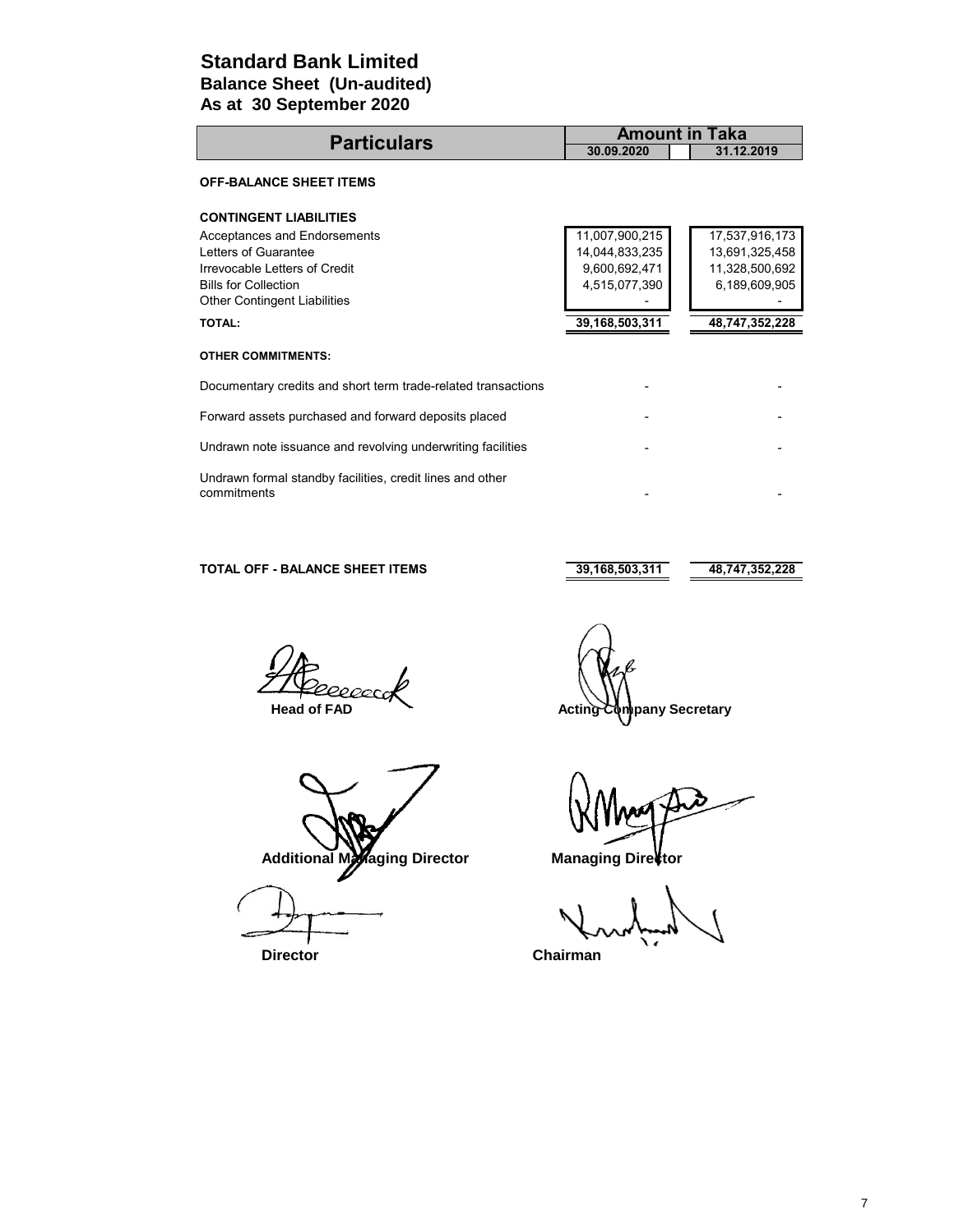### **As at 30 September 2020 Standard Bank Limited Balance Sheet (Un-audited)**

|                                                                                                                                                             | <b>Amount in Taka</b>                                              |                                                                     |  |  |  |
|-------------------------------------------------------------------------------------------------------------------------------------------------------------|--------------------------------------------------------------------|---------------------------------------------------------------------|--|--|--|
| <b>Particulars</b>                                                                                                                                          | 30.09.2020                                                         | 31.12.2019                                                          |  |  |  |
| <b>OFF-BALANCE SHEET ITEMS</b>                                                                                                                              |                                                                    |                                                                     |  |  |  |
| <b>CONTINGENT LIABILITIES</b>                                                                                                                               |                                                                    |                                                                     |  |  |  |
| Acceptances and Endorsements<br>Letters of Guarantee<br>Irrevocable Letters of Credit<br><b>Bills for Collection</b><br><b>Other Contingent Liabilities</b> | 11,007,900,215<br>14,044,833,235<br>9,600,692,471<br>4,515,077,390 | 17,537,916,173<br>13,691,325,458<br>11,328,500,692<br>6,189,609,905 |  |  |  |
| <b>TOTAL:</b>                                                                                                                                               | 39,168,503,311                                                     | 48,747,352,228                                                      |  |  |  |
| <b>OTHER COMMITMENTS:</b>                                                                                                                                   |                                                                    |                                                                     |  |  |  |
| Documentary credits and short term trade-related transactions                                                                                               |                                                                    |                                                                     |  |  |  |
| Forward assets purchased and forward deposits placed                                                                                                        |                                                                    |                                                                     |  |  |  |
| Undrawn note issuance and revolving underwriting facilities                                                                                                 |                                                                    |                                                                     |  |  |  |
| Undrawn formal standby facilities, credit lines and other<br>commitments                                                                                    |                                                                    |                                                                     |  |  |  |

### **TOTAL OFF - BALANCE SHEET ITEMS** 39,168,503,311 48,747,352,228

2000

Additional Managing Director **Managing Director** 

 **Director Chairman**

 **Head of FAD Acting Company Secretary**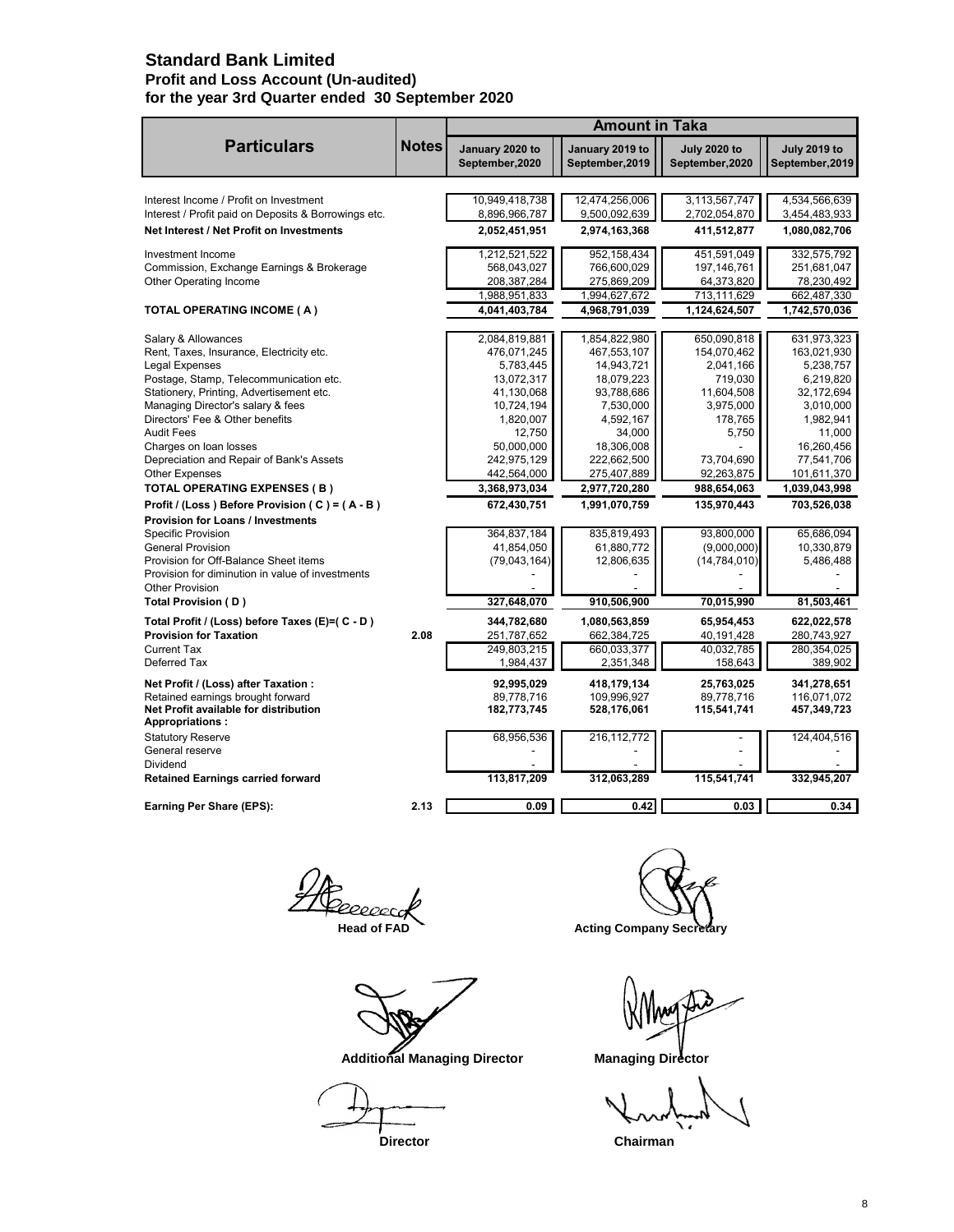### **Standard Bank Limited Profit and Loss Account (Un-audited) for the year 3rd Quarter ended 30 September 2020**

|                                                                            |              | <b>Amount in Taka</b>              |                                    |                                        |                                        |  |  |
|----------------------------------------------------------------------------|--------------|------------------------------------|------------------------------------|----------------------------------------|----------------------------------------|--|--|
| <b>Particulars</b>                                                         | <b>Notes</b> | January 2020 to<br>September, 2020 | January 2019 to<br>September, 2019 | <b>July 2020 to</b><br>September, 2020 | <b>July 2019 to</b><br>September, 2019 |  |  |
| Interest Income / Profit on Investment                                     |              | 10,949,418,738                     | 12,474,256,006                     | 3,113,567,747                          | 4,534,566,639                          |  |  |
| Interest / Profit paid on Deposits & Borrowings etc.                       |              | 8,896,966,787                      | 9,500,092,639                      | 2,702,054,870                          | 3,454,483,933                          |  |  |
| Net Interest / Net Profit on Investments                                   |              | 2,052,451,951                      | 2,974,163,368                      | 411,512,877                            | 1,080,082,706                          |  |  |
| Investment Income                                                          |              | 1,212,521,522                      | 952, 158, 434                      | 451,591,049                            | 332,575,792                            |  |  |
| Commission, Exchange Earnings & Brokerage                                  |              | 568,043,027                        | 766,600,029                        | 197,146,761                            | 251,681,047                            |  |  |
| Other Operating Income                                                     |              | 208,387,284                        | 275,869,209                        | 64,373,820                             | 78,230,492                             |  |  |
|                                                                            |              | 1,988,951,833                      | 1,994,627,672                      | 713,111,629                            | 662,487,330                            |  |  |
| <b>TOTAL OPERATING INCOME (A)</b>                                          |              | 4,041,403,784                      | 4,968,791,039                      | 1,124,624,507                          | 1,742,570,036                          |  |  |
| Salary & Allowances                                                        |              | 2,084,819,881                      | 1,854,822,980                      | 650,090,818                            | 631,973,323                            |  |  |
| Rent, Taxes, Insurance, Electricity etc.                                   |              | 476,071,245                        | 467,553,107                        | 154,070,462                            | 163,021,930                            |  |  |
| Legal Expenses                                                             |              | 5,783,445                          | 14,943,721                         | 2,041,166                              | 5,238,757                              |  |  |
| Postage, Stamp, Telecommunication etc.                                     |              | 13,072,317                         | 18,079,223                         | 719,030                                | 6,219,820                              |  |  |
| Stationery, Printing, Advertisement etc.                                   |              | 41,130,068                         | 93,788,686                         | 11,604,508                             | 32,172,694                             |  |  |
| Managing Director's salary & fees                                          |              | 10,724,194                         | 7,530,000                          | 3,975,000                              | 3,010,000                              |  |  |
| Directors' Fee & Other benefits                                            |              | 1,820,007                          | 4,592,167                          | 178,765                                | 1,982,941                              |  |  |
| <b>Audit Fees</b>                                                          |              | 12.750                             | 34,000                             | 5,750                                  | 11.000                                 |  |  |
| Charges on loan losses                                                     |              | 50,000,000                         | 18,306,008                         |                                        | 16,260,456                             |  |  |
| Depreciation and Repair of Bank's Assets<br><b>Other Expenses</b>          |              | 242,975,129<br>442,564,000         | 222,662,500<br>275,407,889         | 73,704,690<br>92,263,875               | 77,541,706<br>101,611,370              |  |  |
| <b>TOTAL OPERATING EXPENSES ( B )</b>                                      |              | 3,368,973,034                      | 2,977,720,280                      | 988,654,063                            | 1,039,043,998                          |  |  |
| Profit / (Loss ) Before Provision ( C ) = ( A - B )                        |              | 672,430,751                        | 1,991,070,759                      | 135,970,443                            | 703,526,038                            |  |  |
| Provision for Loans / Investments                                          |              |                                    |                                    |                                        |                                        |  |  |
| <b>Specific Provision</b>                                                  |              | 364,837,184                        | 835,819,493                        | 93,800,000                             | 65,686,094                             |  |  |
| <b>General Provision</b>                                                   |              | 41,854,050                         | 61,880,772                         | (9,000,000)                            | 10,330,879                             |  |  |
| Provision for Off-Balance Sheet items                                      |              | (79,043,164)                       | 12,806,635                         | (14, 784, 010)                         | 5,486,488                              |  |  |
| Provision for diminution in value of investments                           |              |                                    |                                    |                                        |                                        |  |  |
| <b>Other Provision</b>                                                     |              |                                    |                                    |                                        |                                        |  |  |
| Total Provision (D)                                                        |              | 327.648.070                        | 910.506.900                        | 70,015,990                             | 81,503,461                             |  |  |
| Total Profit / (Loss) before Taxes (E)=( C - D )                           |              | 344,782,680                        | 1,080,563,859                      | 65,954,453                             | 622,022,578                            |  |  |
| <b>Provision for Taxation</b>                                              | 2.08         | 251,787,652                        | 662,384,725                        | 40,191,428                             | 280,743,927                            |  |  |
| Current Tax<br>Deferred Tax                                                |              | 249.803.215<br>1,984,437           | 660,033,377<br>2,351,348           | 40,032,785<br>158,643                  | 280.354.025<br>389,902                 |  |  |
|                                                                            |              |                                    |                                    |                                        |                                        |  |  |
| Net Profit / (Loss) after Taxation :                                       |              | 92,995,029                         | 418,179,134                        | 25,763,025                             | 341,278,651                            |  |  |
| Retained earnings brought forward<br>Net Profit available for distribution |              | 89.778.716<br>182,773,745          | 109.996.927<br>528,176,061         | 89.778.716<br>115,541,741              | 116.071.072<br>457,349,723             |  |  |
| <b>Appropriations:</b>                                                     |              |                                    |                                    |                                        |                                        |  |  |
| <b>Statutory Reserve</b>                                                   |              | 68,956,536                         | 216,112,772                        |                                        | 124,404,516                            |  |  |
| General reserve                                                            |              |                                    |                                    |                                        |                                        |  |  |
| Dividend                                                                   |              |                                    |                                    |                                        |                                        |  |  |
| <b>Retained Earnings carried forward</b>                                   |              | 113,817,209                        | 312,063,289                        | 115,541,741                            | 332,945,207                            |  |  |
| Earning Per Share (EPS):                                                   | 2.13         | 0.09                               | 0.42                               | 0.03                                   | 0.34                                   |  |  |
|                                                                            |              |                                    |                                    |                                        |                                        |  |  |

 **Additional Managing Director Managing Director** 

**Director** Chairman

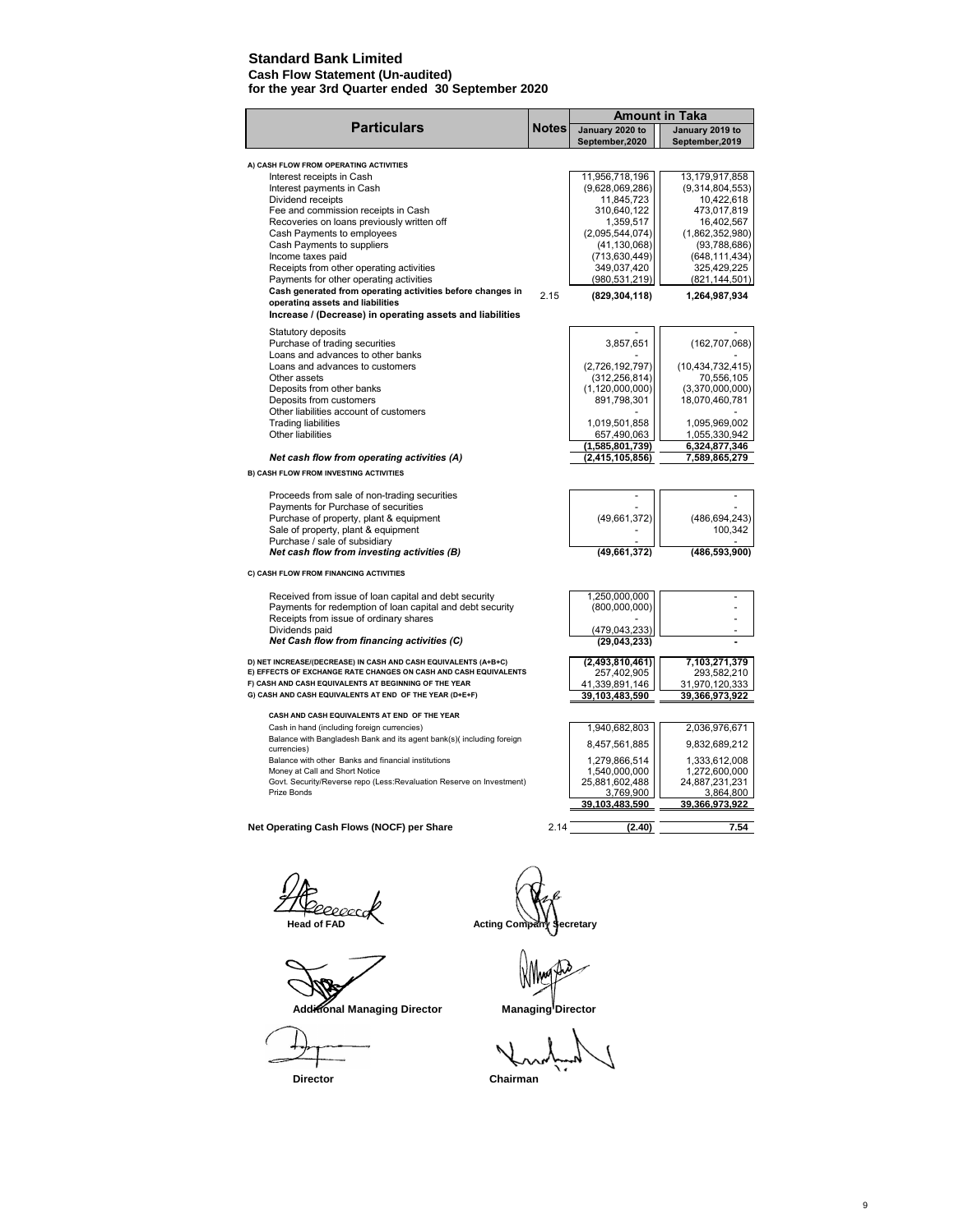### **Standard Bank Limited**

**Cash Flow Statement (Un-audited) for the year 3rd Quarter ended 30 September 2020**

|                                                                                             |              | <b>Amount in Taka</b>              |                                    |
|---------------------------------------------------------------------------------------------|--------------|------------------------------------|------------------------------------|
| <b>Particulars</b>                                                                          | <b>Notes</b> | January 2020 to<br>September, 2020 | January 2019 to<br>September, 2019 |
| A) CASH FLOW FROM OPERATING ACTIVITIES                                                      |              |                                    |                                    |
| Interest receipts in Cash                                                                   |              | 11,956,718,196                     | 13,179,917,858                     |
| Interest payments in Cash                                                                   |              | (9,628,069,286)                    | (9,314,804,553)                    |
| Dividend receipts                                                                           |              | 11,845,723                         | 10,422,618                         |
| Fee and commission receipts in Cash                                                         |              | 310,640,122                        | 473,017,819                        |
| Recoveries on loans previously written off                                                  |              | 1,359,517                          | 16,402,567                         |
| Cash Payments to employees                                                                  |              | (2,095,544,074)                    | (1,862,352,980)                    |
| Cash Payments to suppliers                                                                  |              | (41, 130, 068)                     | (93,788,686)                       |
| Income taxes paid                                                                           |              | (713, 630, 449)                    | (648,111,434)                      |
| Receipts from other operating activities                                                    |              | 349,037,420                        | 325,429,225                        |
| Payments for other operating activities                                                     |              | (980, 531, 219)                    | (821, 144, 501)                    |
| Cash generated from operating activities before changes in                                  | 2.15         | (829, 304, 118)                    | 1,264,987,934                      |
| operating assets and liabilities                                                            |              |                                    |                                    |
| Increase / (Decrease) in operating assets and liabilities                                   |              |                                    |                                    |
| Statutory deposits                                                                          |              |                                    |                                    |
| Purchase of trading securities                                                              |              | 3,857,651                          | (162, 707, 068)                    |
| Loans and advances to other banks                                                           |              |                                    |                                    |
| Loans and advances to customers                                                             |              | (2,726,192,797)                    | (10, 434, 732, 415)                |
| Other assets                                                                                |              | (312, 256, 814)                    | 70,556,105                         |
| Deposits from other banks                                                                   |              | (1, 120, 000, 000)                 | (3,370,000,000)                    |
| Deposits from customers                                                                     |              | 891,798,301                        | 18,070,460,781                     |
| Other liabilities account of customers                                                      |              |                                    |                                    |
| <b>Trading liabilities</b>                                                                  |              | 1,019,501,858                      | 1,095,969,002                      |
| Other liabilities                                                                           |              | 657,490,063                        | 1,055,330,942                      |
| Net cash flow from operating activities (A)                                                 |              | (1,585,801,739)                    | 6,324,877,346                      |
| B) CASH FLOW FROM INVESTING ACTIVITIES                                                      |              | (2,415,105,856)                    | 7,589,865,279                      |
|                                                                                             |              |                                    |                                    |
| Proceeds from sale of non-trading securities                                                |              |                                    |                                    |
| Payments for Purchase of securities                                                         |              |                                    |                                    |
| Purchase of property, plant & equipment                                                     |              | (49,661,372)                       | (486, 694, 243)                    |
| Sale of property, plant & equipment                                                         |              |                                    | 100,342                            |
| Purchase / sale of subsidiary                                                               |              |                                    |                                    |
| Net cash flow from investing activities (B)                                                 |              | (49, 661, 372)                     | (486, 593, 900)                    |
| C) CASH FLOW FROM FINANCING ACTIVITIES                                                      |              |                                    |                                    |
| Received from issue of loan capital and debt security                                       |              | 1,250,000,000                      |                                    |
| Payments for redemption of loan capital and debt security                                   |              | (800,000,000)                      |                                    |
| Receipts from issue of ordinary shares                                                      |              |                                    |                                    |
| Dividends paid                                                                              |              | (479,043,233)                      |                                    |
| Net Cash flow from financing activities (C)                                                 |              | (29, 043, 233)                     |                                    |
| D) NET INCREASE/(DECREASE) IN CASH AND CASH EQUIVALENTS (A+B+C)                             |              | (2, 493, 810, 461)                 | 7,103,271,379                      |
| E) EFFECTS OF EXCHANGE RATE CHANGES ON CASH AND CASH EQUIVALENTS                            |              | 257,402,905                        | 293,582,210                        |
| F) CASH AND CASH EQUIVALENTS AT BEGINNING OF THE YEAR                                       |              | 41,339,891,146                     | 31,970,120,333                     |
| G) CASH AND CASH EQUIVALENTS AT END OF THE YEAR (D+E+F)                                     |              | 39,103,483,590                     | 39,366,973,922                     |
|                                                                                             |              |                                    |                                    |
| CASH AND CASH EQUIVALENTS AT END OF THE YEAR<br>Cash in hand (including foreign currencies) |              | 1,940,682,803                      | 2,036,976,671                      |
| Balance with Bangladesh Bank and its agent bank(s)(including foreign                        |              |                                    |                                    |
| currencies)                                                                                 |              | 8,457,561,885                      | 9,832,689,212                      |
| Balance with other Banks and financial institutions                                         |              | 1,279,866,514                      | 1,333,612,008                      |
| Money at Call and Short Notice                                                              |              | 1,540,000,000                      | 1,272,600,000                      |
| Govt. Security/Reverse repo (Less:Revaluation Reserve on Investment)                        |              | 25,881,602,488                     | 24,887,231,231                     |
| Prize Bonds                                                                                 |              | 3,769,900                          | 3,864,800                          |
|                                                                                             |              | 39,103,483,590                     | 39,366,973,922                     |
| Net Operating Cash Flows (NOCF) per Share                                                   |              | 2.14<br>(2.40)                     | 7.54                               |
|                                                                                             |              |                                    |                                    |

 **Additional Managing Director Managing Director** 

**THE RECOCCOR Acting Company Secretary** 

**Whee** 

 **Director Chairman**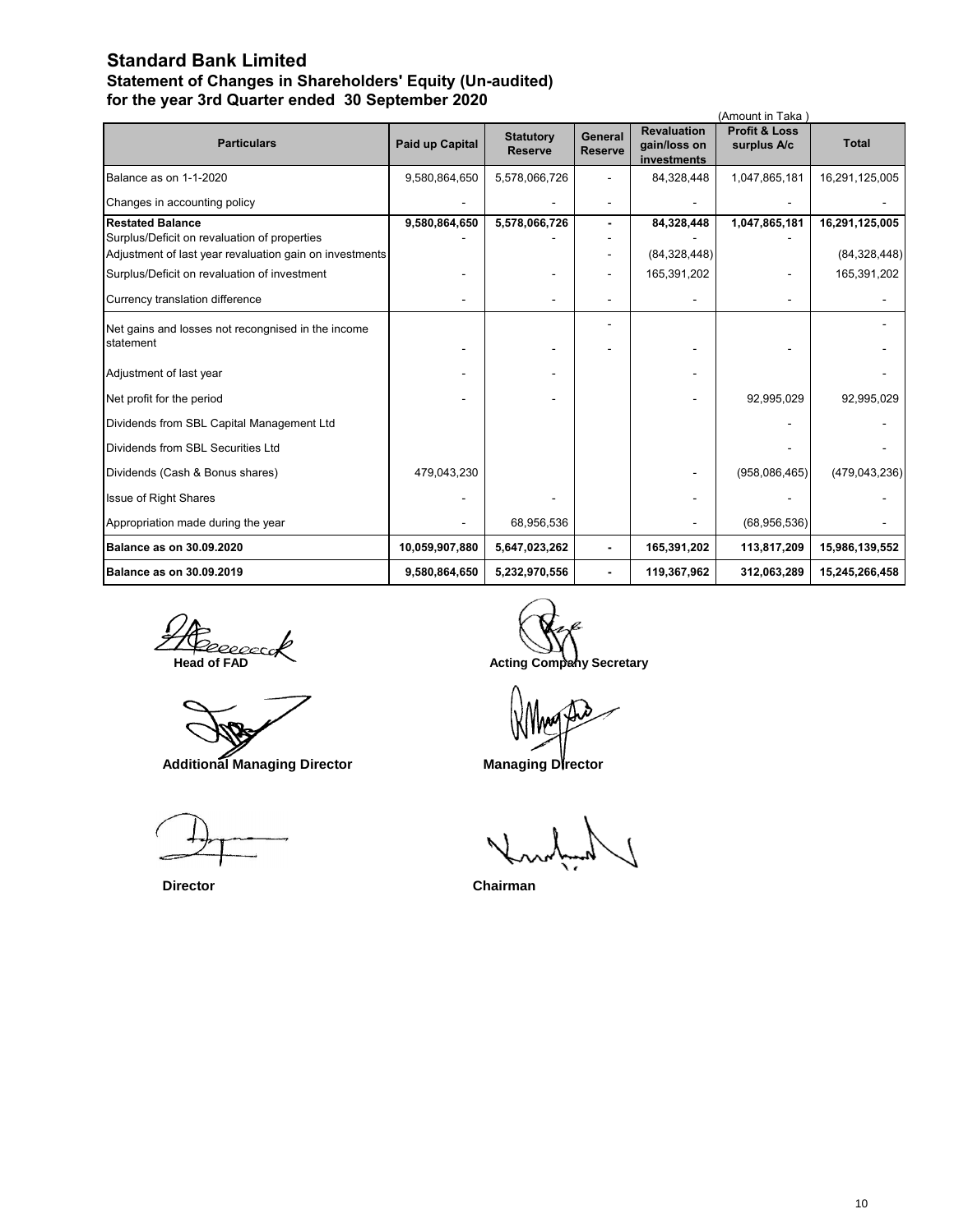### **Standard Bank Limited Statement of Changes in Shareholders' Equity (Un-audited) for the year 3rd Quarter ended 30 September 2020**

|                                                                 |                        |                                    |                           |                                                   | (Amount in Taka)                        |                 |
|-----------------------------------------------------------------|------------------------|------------------------------------|---------------------------|---------------------------------------------------|-----------------------------------------|-----------------|
| <b>Particulars</b>                                              | <b>Paid up Capital</b> | <b>Statutory</b><br><b>Reserve</b> | General<br><b>Reserve</b> | <b>Revaluation</b><br>gain/loss on<br>investments | <b>Profit &amp; Loss</b><br>surplus A/c | <b>Total</b>    |
| Balance as on 1-1-2020                                          | 9,580,864,650          | 5,578,066,726                      |                           | 84,328,448                                        | 1,047,865,181                           | 16,291,125,005  |
| Changes in accounting policy                                    |                        |                                    |                           |                                                   |                                         |                 |
| <b>Restated Balance</b>                                         | 9,580,864,650          | 5,578,066,726                      |                           | 84,328,448                                        | 1,047,865,181                           | 16,291,125,005  |
| Surplus/Deficit on revaluation of properties                    |                        |                                    |                           |                                                   |                                         |                 |
| Adjustment of last year revaluation gain on investments         |                        |                                    |                           | (84, 328, 448)                                    |                                         | (84, 328, 448)  |
| Surplus/Deficit on revaluation of investment                    |                        |                                    |                           | 165,391,202                                       |                                         | 165,391,202     |
| Currency translation difference                                 |                        |                                    |                           |                                                   |                                         |                 |
| Net gains and losses not recongnised in the income<br>statement |                        |                                    |                           |                                                   |                                         |                 |
| Adjustment of last year                                         |                        |                                    |                           |                                                   |                                         |                 |
| Net profit for the period                                       |                        |                                    |                           |                                                   | 92,995,029                              | 92,995,029      |
| Dividends from SBL Capital Management Ltd                       |                        |                                    |                           |                                                   |                                         |                 |
| Dividends from SBL Securities Ltd                               |                        |                                    |                           |                                                   |                                         |                 |
| Dividends (Cash & Bonus shares)                                 | 479,043,230            |                                    |                           |                                                   | (958,086,465)                           | (479, 043, 236) |
| <b>Issue of Right Shares</b>                                    |                        |                                    |                           |                                                   |                                         |                 |
| Appropriation made during the year                              |                        | 68,956,536                         |                           |                                                   | (68,956,536)                            |                 |
| <b>Balance as on 30.09.2020</b>                                 | 10,059,907,880         | 5,647,023,262                      |                           | 165,391,202                                       | 113,817,209                             | 15,986,139,552  |
| <b>Balance as on 30.09.2019</b>                                 | 9,580,864,650          | 5,232,970,556                      |                           | 119,367,962                                       | 312,063,289                             | 15,245,266,458  |

**THE RECONSTRANT ACTING ACTING ACTION**<br> **Acting Company Secretary** 

 **Additional Managing Director Managing Director** 

 **Director Chairman**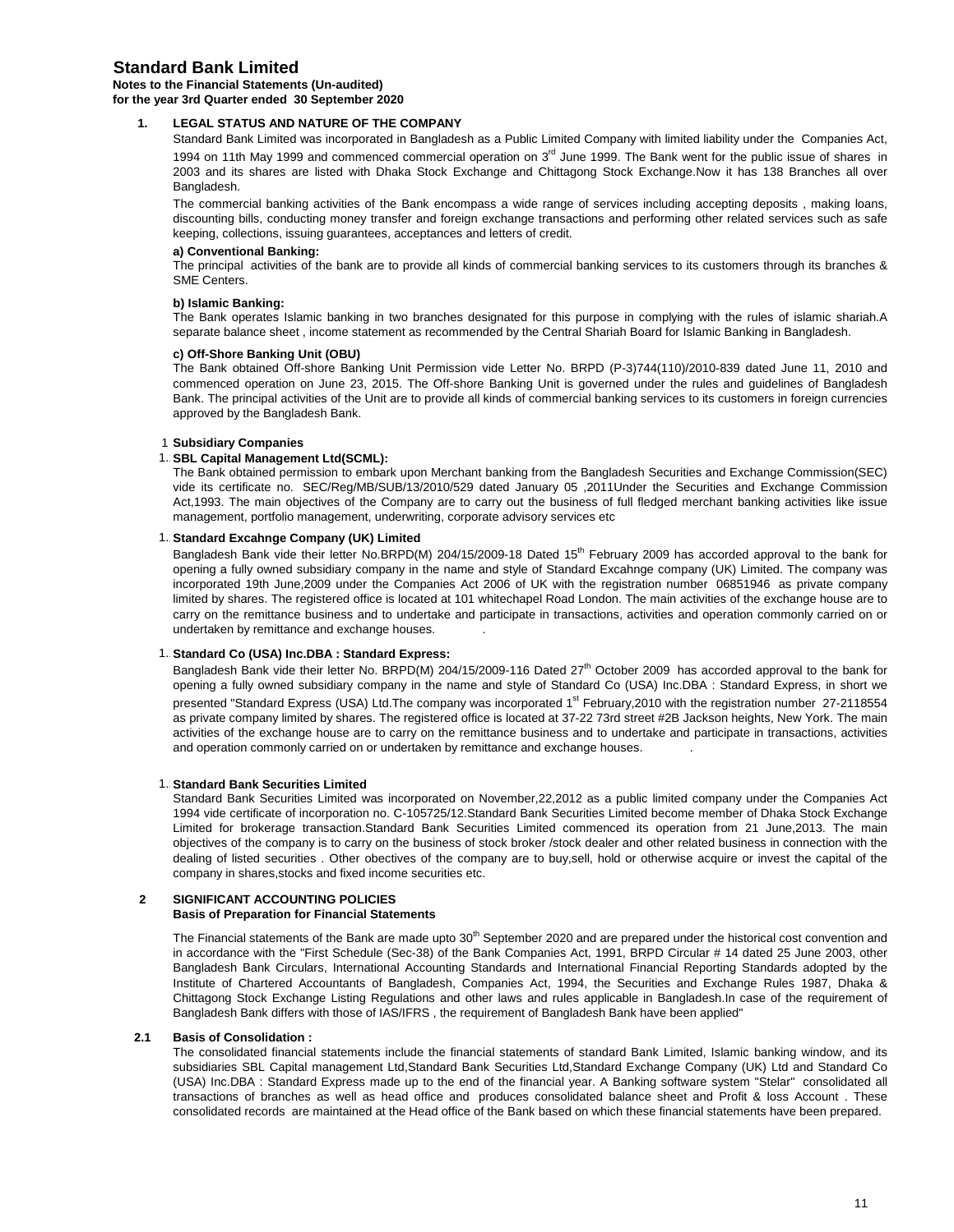### **Standard Bank Limited**

#### **Notes to the Financial Statements (Un-audited) for the year 3rd Quarter ended 30 September 2020**

### **1. LEGAL STATUS AND NATURE OF THE COMPANY**

Standard Bank Limited was incorporated in Bangladesh as a Public Limited Company with limited liability under the Companies Act, 1994 on 11th May 1999 and commenced commercial operation on 3<sup>rd</sup> June 1999. The Bank went for the public issue of shares in 2003 and its shares are listed with Dhaka Stock Exchange and Chittagong Stock Exchange.Now it has 138 Branches all over Bangladesh.

The commercial banking activities of the Bank encompass a wide range of services including accepting deposits , making loans, discounting bills, conducting money transfer and foreign exchange transactions and performing other related services such as safe keeping, collections, issuing guarantees, acceptances and letters of credit.

#### **a) Conventional Banking:**

The principal activities of the bank are to provide all kinds of commercial banking services to its customers through its branches & SME Centers.

#### **b) Islamic Banking:**

The Bank operates Islamic banking in two branches designated for this purpose in complying with the rules of islamic shariah.A separate balance sheet , income statement as recommended by the Central Shariah Board for Islamic Banking in Bangladesh.

#### **c) Off-Shore Banking Unit (OBU)**

The Bank obtained Off-shore Banking Unit Permission vide Letter No. BRPD (P-3)744(110)/2010-839 dated June 11, 2010 and commenced operation on June 23, 2015. The Off-shore Banking Unit is governed under the rules and guidelines of Bangladesh Bank. The principal activities of the Unit are to provide all kinds of commercial banking services to its customers in foreign currencies approved by the Bangladesh Bank.

#### 1 **Subsidiary Companies**

#### 1. **SBL Capital Management Ltd(SCML):**

The Bank obtained permission to embark upon Merchant banking from the Bangladesh Securities and Exchange Commission(SEC) vide its certificate no. SEC/Reg/MB/SUB/13/2010/529 dated January 05 ,2011Under the Securities and Exchange Commission Act,1993. The main objectives of the Company are to carry out the business of full fledged merchant banking activities like issue management, portfolio management, underwriting, corporate advisory services etc

#### 1. Standard Excahnge Company (UK) Limited

Bangladesh Bank vide their letter No.BRPD(M) 204/15/2009-18 Dated 15<sup>th</sup> February 2009 has accorded approval to the bank for opening a fully owned subsidiary company in the name and style of Standard Excahnge company (UK) Limited. The company was incorporated 19th June,2009 under the Companies Act 2006 of UK with the registration number 06851946 as private company limited by shares. The registered office is located at 101 whitechapel Road London. The main activities of the exchange house are to carry on the remittance business and to undertake and participate in transactions, activities and operation commonly carried on or undertaken by remittance and exchange houses. .

#### 1. Standard Co (USA) Inc.DBA : Standard Express:

Bangladesh Bank vide their letter No. BRPD(M) 204/15/2009-116 Dated 27<sup>th</sup> October 2009 has accorded approval to the bank for opening a fully owned subsidiary company in the name and style of Standard Co (USA) Inc.DBA : Standard Express, in short we presented "Standard Express (USA) Ltd.The company was incorporated 1<sup>st</sup> February,2010 with the registration number 27-2118554 as private company limited by shares. The registered office is located at 37-22 73rd street #2B Jackson heights, New York. The main activities of the exchange house are to carry on the remittance business and to undertake and participate in transactions, activities and operation commonly carried on or undertaken by remittance and exchange houses. .

#### **1. Standard Bank Securities Limited**

Standard Bank Securities Limited was incorporated on November,22,2012 as a public limited company under the Companies Act 1994 vide certificate of incorporation no. C-105725/12.Standard Bank Securities Limited become member of Dhaka Stock Exchange Limited for brokerage transaction.Standard Bank Securities Limited commenced its operation from 21 June,2013. The main objectives of the company is to carry on the business of stock broker /stock dealer and other related business in connection with the dealing of listed securities . Other obectives of the company are to buy,sell, hold or otherwise acquire or invest the capital of the company in shares,stocks and fixed income securities etc.

#### **2 SIGNIFICANT ACCOUNTING POLICIES Basis of Preparation for Financial Statements**

The Financial statements of the Bank are made upto 30<sup>th</sup> September 2020 and are prepared under the historical cost convention and in accordance with the "First Schedule (Sec-38) of the Bank Companies Act, 1991, BRPD Circular # 14 dated 25 June 2003, other Bangladesh Bank Circulars, International Accounting Standards and International Financial Reporting Standards adopted by the Institute of Chartered Accountants of Bangladesh, Companies Act, 1994, the Securities and Exchange Rules 1987, Dhaka & Chittagong Stock Exchange Listing Regulations and other laws and rules applicable in Bangladesh.In case of the requirement of Bangladesh Bank differs with those of IAS/IFRS , the requirement of Bangladesh Bank have been applied"

#### **2.1 Basis of Consolidation :**

The consolidated financial statements include the financial statements of standard Bank Limited, Islamic banking window, and its subsidiaries SBL Capital management Ltd,Standard Bank Securities Ltd,Standard Exchange Company (UK) Ltd and Standard Co (USA) Inc.DBA : Standard Express made up to the end of the financial year. A Banking software system "Stelar" consolidated all transactions of branches as well as head office and produces consolidated balance sheet and Profit & loss Account . These consolidated records are maintained at the Head office of the Bank based on which these financial statements have been prepared.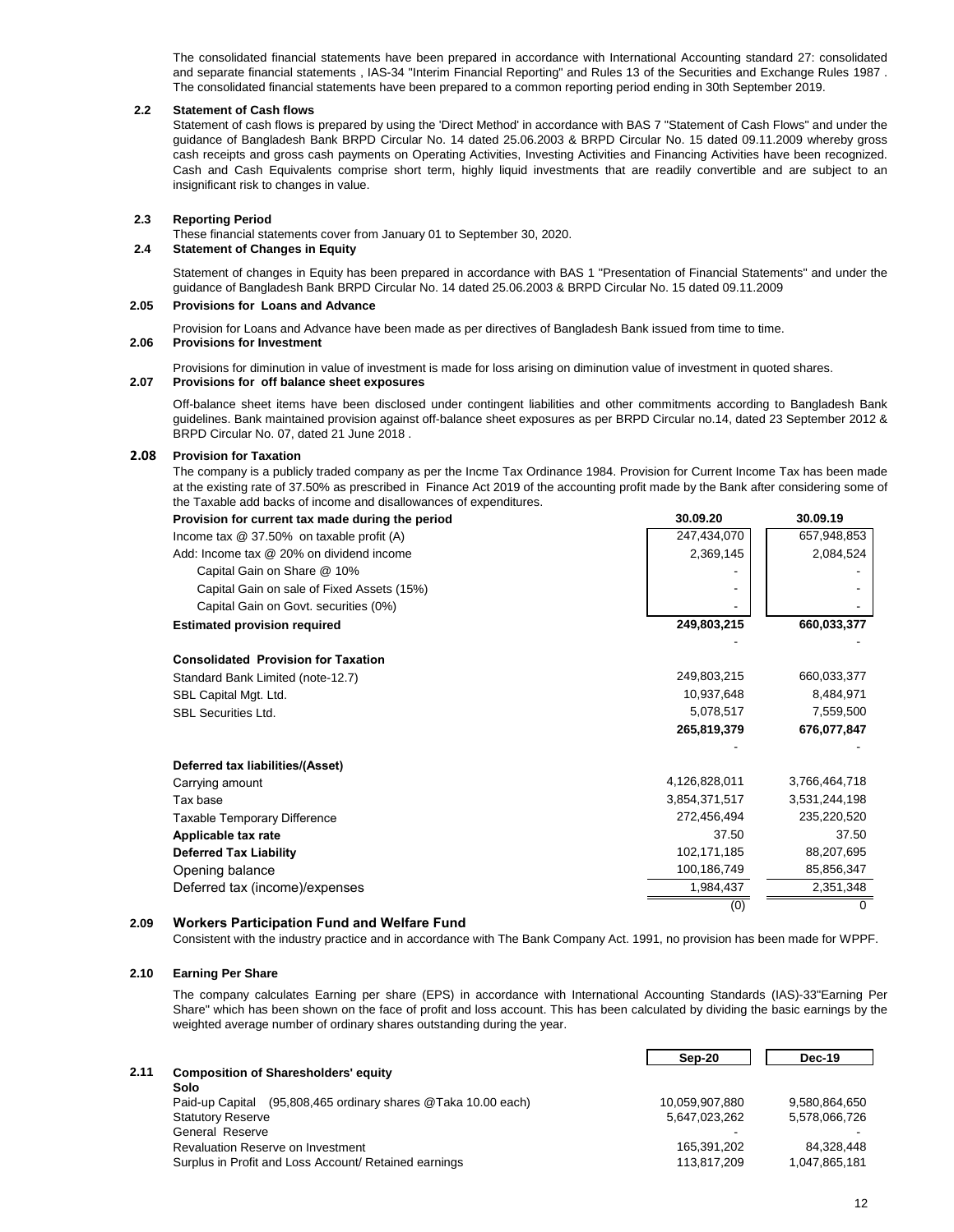The consolidated financial statements have been prepared in accordance with International Accounting standard 27: consolidated and separate financial statements , IAS-34 "Interim Financial Reporting" and Rules 13 of the Securities and Exchange Rules 1987 . The consolidated financial statements have been prepared to a common reporting period ending in 30th September 2019.

#### **2.2 Statement of Cash flows**

Statement of cash flows is prepared by using the 'Direct Method' in accordance with BAS 7 "Statement of Cash Flows" and under the guidance of Bangladesh Bank BRPD Circular No. 14 dated 25.06.2003 & BRPD Circular No. 15 dated 09.11.2009 whereby gross cash receipts and gross cash payments on Operating Activities, Investing Activities and Financing Activities have been recognized. Cash and Cash Equivalents comprise short term, highly liquid investments that are readily convertible and are subject to an insignificant risk to changes in value.

#### **2.3 Reporting Period**

These financial statements cover from January 01 to September 30, 2020.

### **2.4 Statement of Changes in Equity**

Statement of changes in Equity has been prepared in accordance with BAS 1 "Presentation of Financial Statements" and under the guidance of Bangladesh Bank BRPD Circular No. 14 dated 25.06.2003 & BRPD Circular No. 15 dated 09.11.2009

#### **2.05 Provisions for Loans and Advance**

Provision for Loans and Advance have been made as per directives of Bangladesh Bank issued from time to time.

#### **2.06 Provisions for Investment**

Provisions for diminution in value of investment is made for loss arising on diminution value of investment in quoted shares.

#### **2.07 Provisions for off balance sheet exposures**

Off-balance sheet items have been disclosed under contingent liabilities and other commitments according to Bangladesh Bank guidelines. Bank maintained provision against off-balance sheet exposures as per BRPD Circular no.14, dated 23 September 2012 & BRPD Circular No. 07, dated 21 June 2018 .

#### **2.08 Provision for Taxation**

The company is a publicly traded company as per the Incme Tax Ordinance 1984. Provision for Current Income Tax has been made at the existing rate of 37.50% as prescribed in Finance Act 2019 of the accounting profit made by the Bank after considering some of the Taxable add backs of income and disallowances of expenditures.

| Provision for current tax made during the period | 30.09.20      | 30.09.19      |
|--------------------------------------------------|---------------|---------------|
| Income tax $@$ 37.50% on taxable profit (A)      | 247,434,070   | 657,948,853   |
| Add: Income tax @ 20% on dividend income         | 2,369,145     | 2,084,524     |
| Capital Gain on Share @ 10%                      |               |               |
| Capital Gain on sale of Fixed Assets (15%)       |               |               |
| Capital Gain on Govt. securities (0%)            |               |               |
| <b>Estimated provision required</b>              | 249,803,215   | 660,033,377   |
|                                                  |               |               |
| <b>Consolidated Provision for Taxation</b>       |               |               |
| Standard Bank Limited (note-12.7)                | 249,803,215   | 660,033,377   |
| SBL Capital Mgt. Ltd.                            | 10,937,648    | 8,484,971     |
| SBL Securities Ltd.                              | 5,078,517     | 7,559,500     |
|                                                  | 265,819,379   | 676,077,847   |
| Deferred tax liabilities/(Asset)                 |               |               |
| Carrying amount                                  | 4,126,828,011 | 3,766,464,718 |
| Tax base                                         | 3,854,371,517 | 3,531,244,198 |
| Taxable Temporary Difference                     | 272,456,494   | 235,220,520   |
| Applicable tax rate                              | 37.50         | 37.50         |
| <b>Deferred Tax Liability</b>                    | 102,171,185   | 88,207,695    |
| Opening balance                                  | 100,186,749   | 85,856,347    |
| Deferred tax (income)/expenses                   | 1,984,437     | 2,351,348     |
|                                                  | (0)           |               |

#### **2.09 Workers Participation Fund and Welfare Fund**

Consistent with the industry practice and in accordance with The Bank Company Act. 1991, no provision has been made for WPPF.

#### **2.10 Earning Per Share**

The company calculates Earning per share (EPS) in accordance with International Accounting Standards (IAS)-33"Earning Per Share" which has been shown on the face of profit and loss account. This has been calculated by dividing the basic earnings by the weighted average number of ordinary shares outstanding during the year.

|      |                                                                  | Sep-20         | Dec-19        |
|------|------------------------------------------------------------------|----------------|---------------|
| 2.11 | <b>Composition of Sharesholders' equity</b>                      |                |               |
|      | Solo                                                             |                |               |
|      | (95,808,465 ordinary shares @Taka 10.00 each)<br>Paid-up Capital | 10,059,907,880 | 9,580,864,650 |
|      | <b>Statutory Reserve</b>                                         | 5,647,023,262  | 5,578,066,726 |
|      | General Reserve                                                  |                |               |
|      | Revaluation Reserve on Investment                                | 165.391.202    | 84.328.448    |
|      | Surplus in Profit and Loss Account/ Retained earnings            | 113,817,209    | 1,047,865,181 |